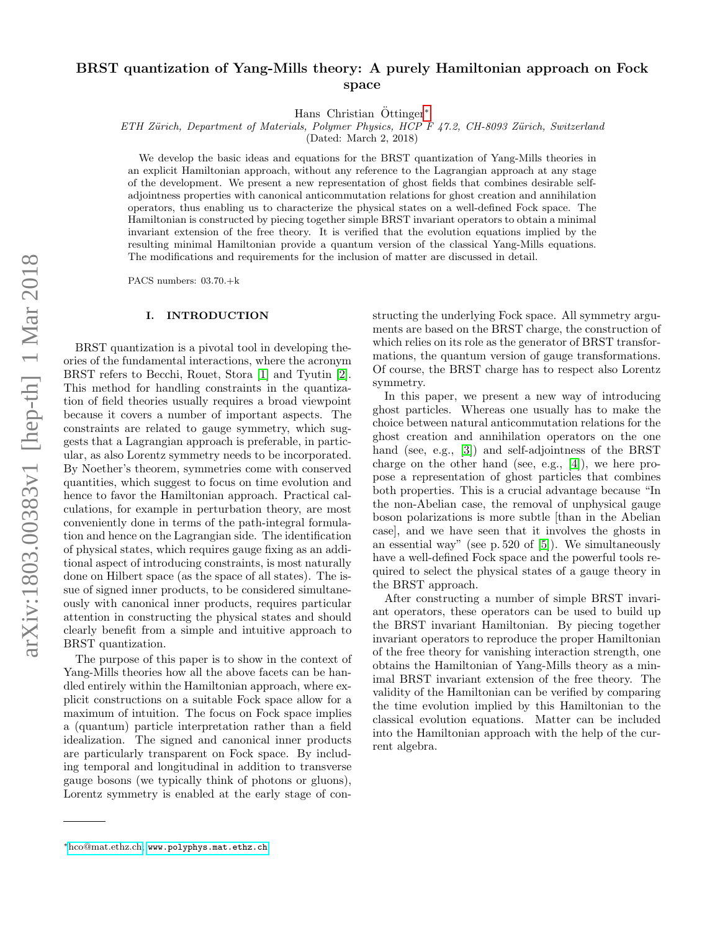# BRST quantization of Yang-Mills theory: A purely Hamiltonian approach on Fock space

Hans Christian Öttinger<sup>\*</sup>

ETH Zürich, Department of Materials, Polymer Physics, HCP F  $\angle 47.2$ , CH-8093 Zürich, Switzerland

(Dated: March 2, 2018)

We develop the basic ideas and equations for the BRST quantization of Yang-Mills theories in an explicit Hamiltonian approach, without any reference to the Lagrangian approach at any stage of the development. We present a new representation of ghost fields that combines desirable selfadjointness properties with canonical anticommutation relations for ghost creation and annihilation operators, thus enabling us to characterize the physical states on a well-defined Fock space. The Hamiltonian is constructed by piecing together simple BRST invariant operators to obtain a minimal invariant extension of the free theory. It is verified that the evolution equations implied by the resulting minimal Hamiltonian provide a quantum version of the classical Yang-Mills equations. The modifications and requirements for the inclusion of matter are discussed in detail.

PACS numbers: 03.70.+k

### I. INTRODUCTION

BRST quantization is a pivotal tool in developing theories of the fundamental interactions, where the acronym BRST refers to Becchi, Rouet, Stora [\[1\]](#page-12-0) and Tyutin [\[2\]](#page-12-1). This method for handling constraints in the quantization of field theories usually requires a broad viewpoint because it covers a number of important aspects. The constraints are related to gauge symmetry, which suggests that a Lagrangian approach is preferable, in particular, as also Lorentz symmetry needs to be incorporated. By Noether's theorem, symmetries come with conserved quantities, which suggest to focus on time evolution and hence to favor the Hamiltonian approach. Practical calculations, for example in perturbation theory, are most conveniently done in terms of the path-integral formulation and hence on the Lagrangian side. The identification of physical states, which requires gauge fixing as an additional aspect of introducing constraints, is most naturally done on Hilbert space (as the space of all states). The issue of signed inner products, to be considered simultaneously with canonical inner products, requires particular attention in constructing the physical states and should clearly benefit from a simple and intuitive approach to BRST quantization.

The purpose of this paper is to show in the context of Yang-Mills theories how all the above facets can be handled entirely within the Hamiltonian approach, where explicit constructions on a suitable Fock space allow for a maximum of intuition. The focus on Fock space implies a (quantum) particle interpretation rather than a field idealization. The signed and canonical inner products are particularly transparent on Fock space. By including temporal and longitudinal in addition to transverse gauge bosons (we typically think of photons or gluons), Lorentz symmetry is enabled at the early stage of constructing the underlying Fock space. All symmetry arguments are based on the BRST charge, the construction of which relies on its role as the generator of BRST transformations, the quantum version of gauge transformations. Of course, the BRST charge has to respect also Lorentz symmetry.

In this paper, we present a new way of introducing ghost particles. Whereas one usually has to make the choice between natural anticommutation relations for the ghost creation and annihilation operators on the one hand (see, e.g., [\[3\]](#page-12-2)) and self-adjointness of the BRST charge on the other hand (see, e.g., [\[4\]](#page-12-3)), we here propose a representation of ghost particles that combines both properties. This is a crucial advantage because "In the non-Abelian case, the removal of unphysical gauge boson polarizations is more subtle [than in the Abelian case], and we have seen that it involves the ghosts in an essential way" (see p. 520 of [\[5\]](#page-12-4)). We simultaneously have a well-defined Fock space and the powerful tools required to select the physical states of a gauge theory in the BRST approach.

After constructing a number of simple BRST invariant operators, these operators can be used to build up the BRST invariant Hamiltonian. By piecing together invariant operators to reproduce the proper Hamiltonian of the free theory for vanishing interaction strength, one obtains the Hamiltonian of Yang-Mills theory as a minimal BRST invariant extension of the free theory. The validity of the Hamiltonian can be verified by comparing the time evolution implied by this Hamiltonian to the classical evolution equations. Matter can be included into the Hamiltonian approach with the help of the current algebra.

<span id="page-0-0"></span><sup>∗</sup>[hco@mat.ethz.ch;](mailto:hco@mat.ethz.ch) <www.polyphys.mat.ethz.ch>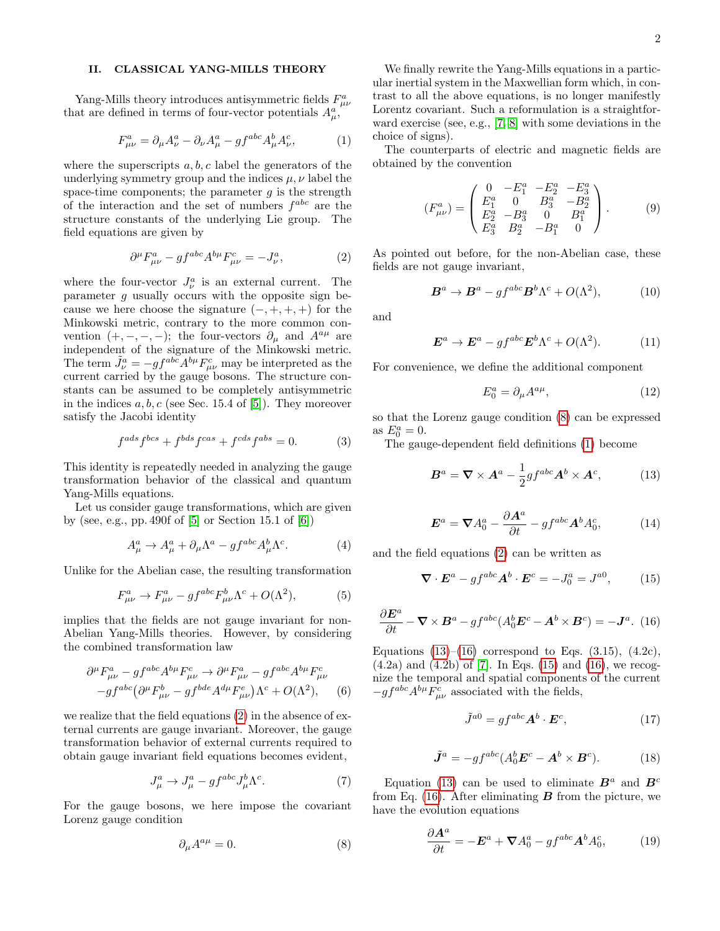### <span id="page-1-10"></span>II. CLASSICAL YANG-MILLS THEORY

Yang-Mills theory introduces antisymmetric fields  $F^a_{\mu\nu}$ that are defined in terms of four-vector potentials  $A^a_\mu$ ,

<span id="page-1-2"></span>
$$
F^a_{\mu\nu} = \partial_\mu A^a_\nu - \partial_\nu A^a_\mu - gf^{abc} A^b_\mu A^c_\nu,
$$
 (1)

where the superscripts  $a, b, c$  label the generators of the underlying symmetry group and the indices  $\mu, \nu$  label the space-time components; the parameter  $q$  is the strength of the interaction and the set of numbers  $f^{abc}$  are the structure constants of the underlying Lie group. The field equations are given by

<span id="page-1-0"></span>
$$
\partial^{\mu} F^{a}_{\mu\nu} - gf^{abc} A^{b\mu} F^{c}_{\mu\nu} = -J^{a}_{\nu}, \qquad (2)
$$

where the four-vector  $J_{\nu}^a$  is an external current. The parameter  $g$  usually occurs with the opposite sign because we here choose the signature  $(-, +, +, +)$  for the Minkowski metric, contrary to the more common convention  $(+, -, -, -)$ ; the four-vectors  $\partial_{\mu}$  and  $A^{a\mu}$  are independent of the signature of the Minkowski metric. The term  $\tilde{J}^a_\nu = -gf^{abc}A^{b\mu}F^c_{\mu\nu}$  may be interpreted as the current carried by the gauge bosons. The structure constants can be assumed to be completely antisymmetric in the indices  $a, b, c$  (see Sec. 15.4 of [\[5\]](#page-12-4)). They moreover satisfy the Jacobi identity

<span id="page-1-14"></span>
$$
f^{ads}f^{bcs} + f^{bds}f^{cas} + f^{cds}f^{abs} = 0.
$$
 (3)

This identity is repeatedly needed in analyzing the gauge transformation behavior of the classical and quantum Yang-Mills equations.

Let us consider gauge transformations, which are given by (see, e.g., pp. 490f of [\[5\]](#page-12-4) or Section 15.1 of [\[6\]](#page-12-5))

<span id="page-1-8"></span>
$$
A^a_\mu \to A^a_\mu + \partial_\mu \Lambda^a - g f^{abc} A^b_\mu \Lambda^c. \tag{4}
$$

Unlike for the Abelian case, the resulting transformation

$$
F^{a}_{\mu\nu} \to F^{a}_{\mu\nu} - gf^{abc} F^{b}_{\mu\nu} \Lambda^c + O(\Lambda^2), \tag{5}
$$

implies that the fields are not gauge invariant for non-Abelian Yang-Mills theories. However, by considering the combined transformation law

$$
\partial^{\mu}F_{\mu\nu}^{a} - gf^{abc}A^{b\mu}F_{\mu\nu}^{c} \rightarrow \partial^{\mu}F_{\mu\nu}^{a} - gf^{abc}A^{b\mu}F_{\mu\nu}^{c}
$$

$$
-gf^{abc}(\partial^{\mu}F_{\mu\nu}^{b} - gf^{bde}A^{d\mu}F_{\mu\nu}^{e})\Lambda^{c} + O(\Lambda^{2}), \quad (6)
$$

we realize that the field equations [\(2\)](#page-1-0) in the absence of external currents are gauge invariant. Moreover, the gauge transformation behavior of external currents required to obtain gauge invariant field equations becomes evident,

<span id="page-1-13"></span>
$$
J^a_\mu \to J^a_\mu - g f^{abc} J^b_\mu \Lambda^c. \tag{7}
$$

For the gauge bosons, we here impose the covariant Lorenz gauge condition

<span id="page-1-1"></span>
$$
\partial_{\mu}A^{a\mu} = 0. \tag{8}
$$

We finally rewrite the Yang-Mills equations in a particular inertial system in the Maxwellian form which, in contrast to all the above equations, is no longer manifestly Lorentz covariant. Such a reformulation is a straightforward exercise (see, e.g., [\[7,](#page-12-6) [8\]](#page-12-7) with some deviations in the choice of signs).

The counterparts of electric and magnetic fields are obtained by the convention

$$
(F_{\mu\nu}^{a}) = \begin{pmatrix} 0 & -E_{1}^{a} & -E_{2}^{a} & -E_{3}^{a} \\ E_{1}^{a} & 0 & B_{3}^{a} & -B_{2}^{a} \\ E_{2}^{a} & -B_{3}^{a} & 0 & B_{1}^{a} \\ E_{3}^{a} & B_{2}^{a} & -B_{1}^{a} & 0 \end{pmatrix}.
$$
 (9)

As pointed out before, for the non-Abelian case, these fields are not gauge invariant,

$$
\boldsymbol{B}^a \to \boldsymbol{B}^a - gf^{abc} \boldsymbol{B}^b \Lambda^c + O(\Lambda^2), \tag{10}
$$

and

<span id="page-1-9"></span>
$$
\boldsymbol{E}^{a} \to \boldsymbol{E}^{a} - gf^{abc} \boldsymbol{E}^{b} \Lambda^{c} + O(\Lambda^{2}). \tag{11}
$$

For convenience, we define the additional component

<span id="page-1-7"></span>
$$
E_0^a = \partial_\mu A^{a\mu},\tag{12}
$$

so that the Lorenz gauge condition [\(8\)](#page-1-1) can be expressed as  $E_0^a = 0$ .

The gauge-dependent field definitions [\(1\)](#page-1-2) become

<span id="page-1-3"></span>
$$
\boldsymbol{B}^{a} = \boldsymbol{\nabla} \times \boldsymbol{A}^{a} - \frac{1}{2} g f^{abc} \boldsymbol{A}^{b} \times \boldsymbol{A}^{c}, \qquad (13)
$$

<span id="page-1-6"></span>
$$
\boldsymbol{E}^{a} = \boldsymbol{\nabla} A^{a}_{0} - \frac{\partial \boldsymbol{A}^{a}}{\partial t} - gf^{abc} \boldsymbol{A}^{b} A^{c}_{0}, \qquad (14)
$$

and the field equations [\(2\)](#page-1-0) can be written as

<span id="page-1-5"></span>
$$
\nabla \cdot \boldsymbol{E}^a - gf^{abc} \boldsymbol{A}^b \cdot \boldsymbol{E}^c = -J_0^a = J^{a0}, \qquad (15)
$$

<span id="page-1-4"></span>
$$
\frac{\partial \boldsymbol{E}^a}{\partial t} - \boldsymbol{\nabla} \times \boldsymbol{B}^a - gf^{abc} (A_0^b \boldsymbol{E}^c - \boldsymbol{A}^b \times \boldsymbol{B}^c) = -\boldsymbol{J}^a. \tag{16}
$$

Equations  $(13)$ – $(16)$  correspond to Eqs.  $(3.15)$ ,  $(4.2c)$ ,  $(4.2a)$  and  $(4.2b)$  of [\[7\]](#page-12-6). In Eqs.  $(15)$  and  $(16)$ , we recognize the temporal and spatial components of the current  $-gf^{abc}A^{b\mu}F^c_{\mu\nu}$  associated with the fields,

<span id="page-1-12"></span>
$$
\tilde{J}^{a0} = gf^{abc} \mathbf{A}^b \cdot \mathbf{E}^c,\tag{17}
$$

$$
\tilde{\boldsymbol{J}}^a = -gf^{abc} (A_0^b \boldsymbol{E}^c - \boldsymbol{A}^b \times \boldsymbol{B}^c).
$$
 (18)

Equation [\(13\)](#page-1-3) can be used to eliminate  $B^a$  and  $B^c$ from Eq. [\(16\)](#page-1-4). After eliminating  $\boldsymbol{B}$  from the picture, we have the evolution equations

<span id="page-1-11"></span>
$$
\frac{\partial \boldsymbol{A}^a}{\partial t} = -\boldsymbol{E}^a + \boldsymbol{\nabla} A_0^a - gf^{abc} \boldsymbol{A}^b A_0^c,\tag{19}
$$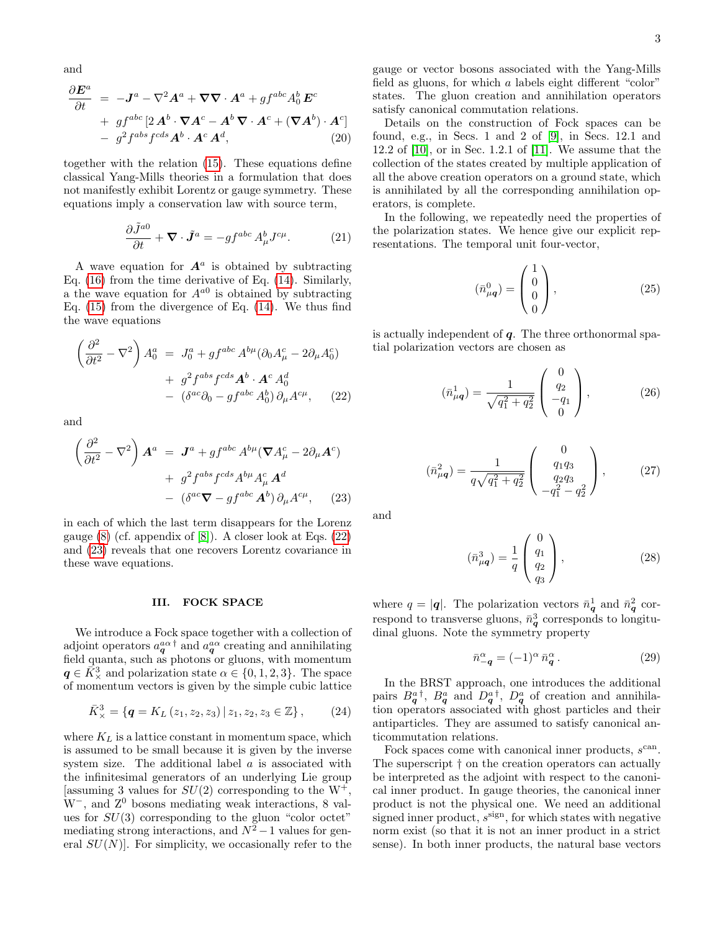and

<span id="page-2-2"></span>
$$
\frac{\partial \boldsymbol{E}^{a}}{\partial t} = -\boldsymbol{J}^{a} - \nabla^{2} \boldsymbol{A}^{a} + \boldsymbol{\nabla} \boldsymbol{\nabla} \cdot \boldsymbol{A}^{a} + gf^{abc} A_{0}^{b} \boldsymbol{E}^{c} \n+ gf^{abc} \left[ 2 \boldsymbol{A}^{b} \cdot \boldsymbol{\nabla} \boldsymbol{A}^{c} - \boldsymbol{A}^{b} \boldsymbol{\nabla} \cdot \boldsymbol{A}^{c} + (\boldsymbol{\nabla} \boldsymbol{A}^{b}) \cdot \boldsymbol{A}^{c} \right] \n- g^{2} f^{abs} f^{cds} \boldsymbol{A}^{b} \cdot \boldsymbol{A}^{c} \boldsymbol{A}^{d},
$$
\n(20)

together with the relation [\(15\)](#page-1-5). These equations define classical Yang-Mills theories in a formulation that does not manifestly exhibit Lorentz or gauge symmetry. These equations imply a conservation law with source term,

<span id="page-2-4"></span>
$$
\frac{\partial \tilde{J}^{a0}}{\partial t} + \nabla \cdot \tilde{J}^{a} = -gf^{abc} A^{b}_{\mu} J^{c\mu}.
$$
 (21)

A wave equation for  $A^a$  is obtained by subtracting Eq. [\(16\)](#page-1-4) from the time derivative of Eq. [\(14\)](#page-1-6). Similarly, a the wave equation for  $A^{a0}$  is obtained by subtracting Eq. [\(15\)](#page-1-5) from the divergence of Eq. [\(14\)](#page-1-6). We thus find the wave equations

<span id="page-2-0"></span>
$$
\left(\frac{\partial^2}{\partial t^2} - \nabla^2\right) A_0^a = J_0^a + gf^{abc} A^{b\mu} (\partial_0 A_\mu^c - 2\partial_\mu A_0^c)
$$

$$
+ g^2 f^{abs} f^{cds} A^b \cdot A^c A_0^d
$$

$$
- (\delta^{ac} \partial_0 - gf^{abc} A_0^b) \partial_\mu A^{c\mu}, \qquad (22)
$$

and

<span id="page-2-1"></span>
$$
\left(\frac{\partial^2}{\partial t^2} - \nabla^2\right) \mathbf{A}^a = \mathbf{J}^a + gf^{abc} A^{b\mu} (\nabla A^c_\mu - 2\partial_\mu \mathbf{A}^c) \n+ g^2 f^{abs} f^{cds} A^{b\mu} A^c_\mu \mathbf{A}^d \n- (\delta^{ac} \nabla - gf^{abc} \mathbf{A}^b) \partial_\mu A^{c\mu}, \quad (23)
$$

in each of which the last term disappears for the Lorenz gauge [\(8\)](#page-1-1) (cf. appendix of [\[8\]](#page-12-7)). A closer look at Eqs. [\(22\)](#page-2-0) and [\(23\)](#page-2-1) reveals that one recovers Lorentz covariance in these wave equations.

### <span id="page-2-3"></span>III. FOCK SPACE

We introduce a Fock space together with a collection of adjoint operators  $a_{\mathbf{q}}^{a\alpha}$  † and  $a_{\mathbf{q}}^{a\alpha}$  creating and annihilating field quanta, such as photons or gluons, with momentum  $q \in \overline{K}_{\times}^{3}$  and polarization state  $\alpha \in \{0, 1, 2, 3\}$ . The space of momentum vectors is given by the simple cubic lattice

$$
\bar{K}_{\times}^{3} = \{ \mathbf{q} = K_{L} \left( z_{1}, z_{2}, z_{3} \right) | z_{1}, z_{2}, z_{3} \in \mathbb{Z} \}, \qquad (24)
$$

where  $K_L$  is a lattice constant in momentum space, which is assumed to be small because it is given by the inverse system size. The additional label  $a$  is associated with the infinitesimal generators of an underlying Lie group [assuming 3 values for  $SU(2)$  corresponding to the  $W^+$ ,  $W^-$ , and  $Z^0$  bosons mediating weak interactions, 8 values for  $SU(3)$  corresponding to the gluon "color octet" mediating strong interactions, and  $N^2-1$  values for general  $SU(N)$ . For simplicity, we occasionally refer to the gauge or vector bosons associated with the Yang-Mills field as gluons, for which a labels eight different "color" states. The gluon creation and annihilation operators satisfy canonical commutation relations.

Details on the construction of Fock spaces can be found, e.g., in Secs. 1 and 2 of [\[9\]](#page-12-8), in Secs. 12.1 and 12.2 of [\[10\]](#page-12-9), or in Sec. 1.2.1 of [\[11\]](#page-12-10). We assume that the collection of the states created by multiple application of all the above creation operators on a ground state, which is annihilated by all the corresponding annihilation operators, is complete.

In the following, we repeatedly need the properties of the polarization states. We hence give our explicit representations. The temporal unit four-vector,

$$
(\bar{n}_{\mu q}^0) = \begin{pmatrix} 1 \\ 0 \\ 0 \\ 0 \end{pmatrix}, \tag{25}
$$

is actually independent of  $q$ . The three orthonormal spatial polarization vectors are chosen as

$$
(\bar{n}_{\mu q}^{1}) = \frac{1}{\sqrt{q_1^2 + q_2^2}} \begin{pmatrix} 0\\q_2\\-q_1\\0 \end{pmatrix},
$$
 (26)

$$
(\bar{n}_{\mu q}^{2}) = \frac{1}{q\sqrt{q_{1}^{2} + q_{2}^{2}}} \begin{pmatrix} 0\\q_{1}q_{3}\\q_{2}q_{3}\\-q_{1}^{2} - q_{2}^{2} \end{pmatrix}, \qquad (27)
$$

and

$$
(\bar{n}_{\mu\mathbf{q}}^3) = \frac{1}{q} \begin{pmatrix} 0\\q_1\\q_2\\q_3 \end{pmatrix},\tag{28}
$$

where  $q = |\mathbf{q}|$ . The polarization vectors  $\bar{n}_{\mathbf{q}}^1$  and  $\bar{n}_{\mathbf{q}}^2$  correspond to transverse gluons,  $\bar{n}_{q}^{3}$  corresponds to longitudinal gluons. Note the symmetry property

$$
\bar{n}_{-\mathbf{q}}^{\alpha} = (-1)^{\alpha} \,\bar{n}_{\mathbf{q}}^{\alpha} \,. \tag{29}
$$

In the BRST approach, one introduces the additional pairs  $B_{\mathbf{q}}^{a\dagger}$ ,  $B_{\mathbf{q}}^{a}$  and  $D_{\mathbf{q}}^{a\dagger}$ ,  $D_{\mathbf{q}}^{a}$  of creation and annihilation operators associated with ghost particles and their antiparticles. They are assumed to satisfy canonical anticommutation relations.

Fock spaces come with canonical inner products,  $s^{\text{can}}$ . The superscript † on the creation operators can actually be interpreted as the adjoint with respect to the canonical inner product. In gauge theories, the canonical inner product is not the physical one. We need an additional signed inner product,  $s^{\text{sign}}$ , for which states with negative norm exist (so that it is not an inner product in a strict sense). In both inner products, the natural base vectors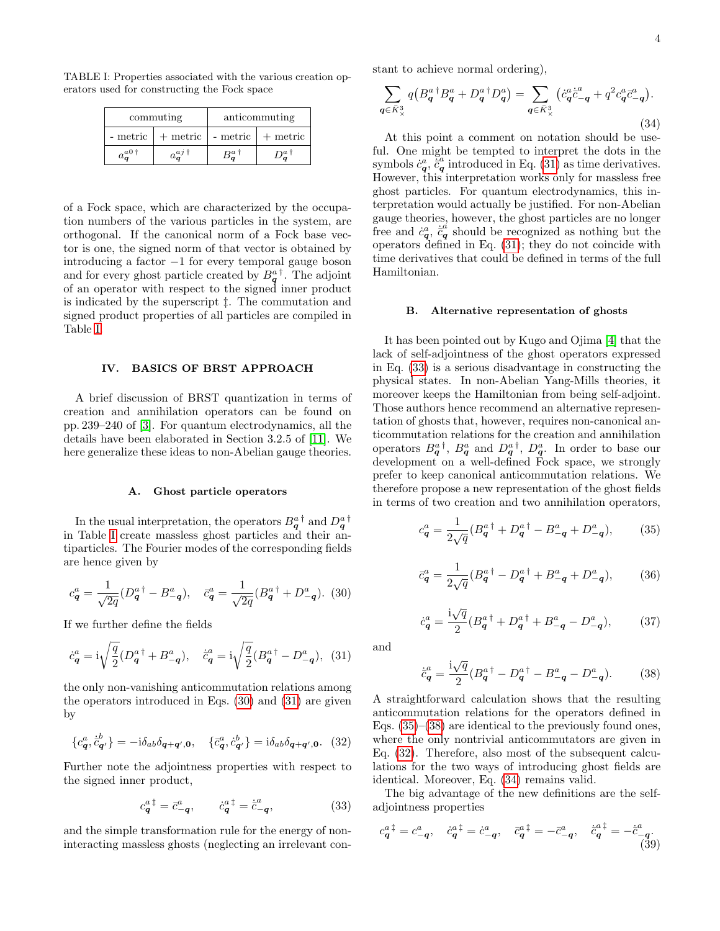TABLE I: Properties associated with the various creation operators used for constructing the Fock space

<span id="page-3-0"></span>

| commuting                          |                           | anticommuting |            |
|------------------------------------|---------------------------|---------------|------------|
| - metric                           | $+$ metric                | - metric      | $+$ metric |
| $a_{\boldsymbol{a}}^{a0\,\dagger}$ | $a_{\boldsymbol{c}}^{aj}$ |               |            |

of a Fock space, which are characterized by the occupation numbers of the various particles in the system, are orthogonal. If the canonical norm of a Fock base vector is one, the signed norm of that vector is obtained by introducing a factor −1 for every temporal gauge boson and for every ghost particle created by  $B_{q}^{a\dagger}$ . The adjoint of an operator with respect to the signed inner product is indicated by the superscript ‡. The commutation and signed product properties of all particles are compiled in Table [I.](#page-3-0)

### IV. BASICS OF BRST APPROACH

A brief discussion of BRST quantization in terms of creation and annihilation operators can be found on pp. 239–240 of [\[3\]](#page-12-2). For quantum electrodynamics, all the details have been elaborated in Section 3.2.5 of [\[11\]](#page-12-10). We here generalize these ideas to non-Abelian gauge theories.

#### A. Ghost particle operators

In the usual interpretation, the operators  $B_{q}^{a}{}^{\dagger}$  and  $D_{q}^{a}{}^{\dagger}$ in Table [I](#page-3-0) create massless ghost particles and their antiparticles. The Fourier modes of the corresponding fields are hence given by

<span id="page-3-1"></span>
$$
c_q^a = \frac{1}{\sqrt{2q}} (D_q^{a\dagger} - B_{-q}^a), \quad \bar{c}_q^a = \frac{1}{\sqrt{2q}} (B_q^{a\dagger} + D_{-q}^a). \tag{30}
$$

If we further define the fields

<span id="page-3-2"></span>
$$
\dot{c}_{\bm{q}}^{a} = \mathbf{i}\sqrt{\frac{q}{2}}(D_{\bm{q}}^{a \, \dagger} + B_{-\bm{q}}^{a}), \quad \dot{\bar{c}}_{\bm{q}}^{a} = \mathbf{i}\sqrt{\frac{q}{2}}(B_{\bm{q}}^{a \, \dagger} - D_{-\bm{q}}^{a}), \tag{31}
$$

the only non-vanishing anticommutation relations among the operators introduced in Eqs. [\(30\)](#page-3-1) and [\(31\)](#page-3-2) are given by

<span id="page-3-6"></span>
$$
\{c_{\mathbf{q}}^{a}, \dot{\bar{c}}_{\mathbf{q}'}^{b}\} = -i\delta_{ab}\delta_{\mathbf{q}+\mathbf{q}',\mathbf{0}}, \quad \{\bar{c}_{\mathbf{q}}^{a}, \dot{c}_{\mathbf{q}'}^{b}\} = i\delta_{ab}\delta_{\mathbf{q}+\mathbf{q}',\mathbf{0}}.\tag{32}
$$

Further note the adjointness properties with respect to the signed inner product,

<span id="page-3-3"></span>
$$
c_q^{a \, \ddagger} = \bar{c}_{-q}^{a}, \qquad \dot{c}_q^{a \, \ddagger} = \dot{\bar{c}}_{-q}^{a}, \tag{33}
$$

and the simple transformation rule for the energy of noninteracting massless ghosts (neglecting an irrelevant constant to achieve normal ordering),

<span id="page-3-7"></span>
$$
\sum_{\mathbf{q}\in\bar{K}_{\times}^{3}}q\left(B_{\mathbf{q}}^{a\dagger}B_{\mathbf{q}}^{a} + D_{\mathbf{q}}^{a\dagger}D_{\mathbf{q}}^{a}\right) = \sum_{\mathbf{q}\in\bar{K}_{\times}^{3}}\left(\dot{c}_{\mathbf{q}}^{a}\dot{c}_{-\mathbf{q}}^{a} + q^{2}c_{\mathbf{q}}^{a}\bar{c}_{-\mathbf{q}}^{a}\right).
$$
\n(34)

At this point a comment on notation should be useful. One might be tempted to interpret the dots in the symbols  $\dot{c}_{\bm{q}}^a$ ,  $\ddot{\dot{\bar{c}}}_{\bm{q}}^a$  $q^u$  introduced in Eq. [\(31\)](#page-3-2) as time derivatives. However, this interpretation works only for massless free ghost particles. For quantum electrodynamics, this interpretation would actually be justified. For non-Abelian gauge theories, however, the ghost particles are no longer free and  $\dot{c}_{\bm{q}}^a$ ,  $\dot{\bar{c}}_{\bm{q}}^{\dot{a}}$  $q<sup>a</sup>$  should be recognized as nothing but the operators defined in Eq. [\(31\)](#page-3-2); they do not coincide with time derivatives that could be defined in terms of the full Hamiltonian.

#### B. Alternative representation of ghosts

It has been pointed out by Kugo and Ojima [\[4\]](#page-12-3) that the lack of self-adjointness of the ghost operators expressed in Eq. [\(33\)](#page-3-3) is a serious disadvantage in constructing the physical states. In non-Abelian Yang-Mills theories, it moreover keeps the Hamiltonian from being self-adjoint. Those authors hence recommend an alternative representation of ghosts that, however, requires non-canonical anticommutation relations for the creation and annihilation operators  $B_{\mathbf{q}}^{a\dagger}$ ,  $B_{\mathbf{q}}^{a}$  and  $D_{\mathbf{q}}^{a\dagger}$ ,  $D_{\mathbf{q}}^{a}$ . In order to base our development on a well-defined Fock space, we strongly prefer to keep canonical anticommutation relations. We therefore propose a new representation of the ghost fields in terms of two creation and two annihilation operators,

<span id="page-3-4"></span>
$$
c_q^a = \frac{1}{2\sqrt{q}} (B_q^{a\dagger} + D_q^{a\dagger} - B_{-q}^a + D_{-q}^a), \tag{35}
$$

$$
\bar{c}_{\mathbf{q}}^{a} = \frac{1}{2\sqrt{q}} (B_{\mathbf{q}}^{a\dagger} - D_{\mathbf{q}}^{a\dagger} + B_{-\mathbf{q}}^{a} + D_{-\mathbf{q}}^{a}), \tag{36}
$$

<span id="page-3-9"></span>
$$
\dot{c}_q^a = \frac{\mathrm{i}\sqrt{q}}{2} (B_q^{a\dagger} + D_q^{a\dagger} + B_{-q}^a - D_{-q}^a),\tag{37}
$$

and

<span id="page-3-5"></span>
$$
\dot{\bar{c}}_q^a = \frac{\mathrm{i}\sqrt{q}}{2} (B_q^{a\dagger} - D_q^{a\dagger} - B_{-q}^a - D_{-q}^a). \tag{38}
$$

A straightforward calculation shows that the resulting anticommutation relations for the operators defined in Eqs.  $(35)$ – $(38)$  are identical to the previously found ones, where the only nontrivial anticommutators are given in Eq. [\(32\)](#page-3-6). Therefore, also most of the subsequent calculations for the two ways of introducing ghost fields are identical. Moreover, Eq. [\(34\)](#page-3-7) remains valid.

The big advantage of the new definitions are the selfadjointness properties

<span id="page-3-8"></span>
$$
c_q^{a \dagger} = c_{-q}^a
$$
,  $\dot{c}_q^{a \dagger} = \dot{c}_{-q}^a$ ,  $\bar{c}_q^{a \dagger} = -\bar{c}_{-q}^a$ ,  $\dot{\bar{c}}_q^{a \dagger} = -\dot{\bar{c}}_{-q}^a$ . (39)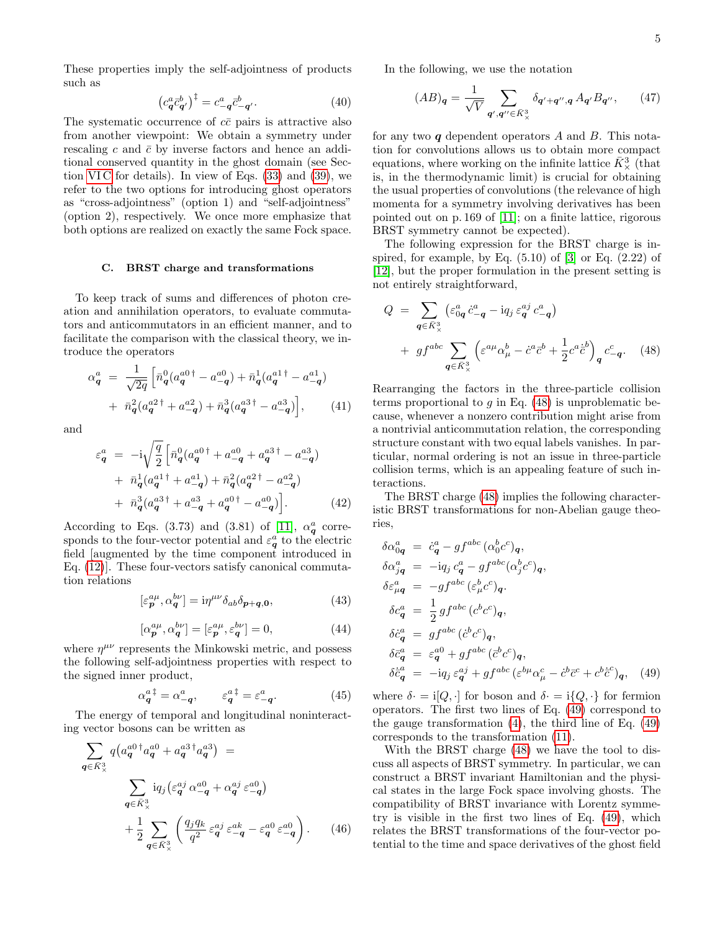These properties imply the self-adjointness of products such as

$$
\left(c_q^a \bar{c}_{\bm{q}}^b\right)^{\ddagger} = c_{-\bm{q}}^a \bar{c}_{-\bm{q}}^b. \tag{40}
$$

The systematic occurrence of  $c\bar{c}$  pairs is attractive also from another viewpoint: We obtain a symmetry under rescaling  $c$  and  $\bar{c}$  by inverse factors and hence an additional conserved quantity in the ghost domain (see Section VIC for details). In view of Eqs.  $(33)$  and  $(39)$ , we refer to the two options for introducing ghost operators as "cross-adjointness" (option 1) and "self-adjointness" (option 2), respectively. We once more emphasize that both options are realized on exactly the same Fock space.

#### C. BRST charge and transformations

To keep track of sums and differences of photon creation and annihilation operators, to evaluate commutators and anticommutators in an efficient manner, and to facilitate the comparison with the classical theory, we introduce the operators

$$
\alpha_{\mathbf{q}}^{a} = \frac{1}{\sqrt{2q}} \left[ \bar{n}_{\mathbf{q}}^{0} (a_{\mathbf{q}}^{a0\dagger} - a_{-\mathbf{q}}^{a0}) + \bar{n}_{\mathbf{q}}^{1} (a_{\mathbf{q}}^{a1\dagger} - a_{-\mathbf{q}}^{a1}) + \bar{n}_{\mathbf{q}}^{2} (a_{\mathbf{q}}^{a2\dagger} + a_{-\mathbf{q}}^{a2}) + \bar{n}_{\mathbf{q}}^{3} (a_{\mathbf{q}}^{a3\dagger} - a_{-\mathbf{q}}^{a3}) \right], \tag{41}
$$

and

$$
\varepsilon_{\mathbf{q}}^{a} = -i\sqrt{\frac{q}{2}} \left[ \bar{n}_{\mathbf{q}}^{0} (a_{\mathbf{q}}^{a0\dagger} + a_{-\mathbf{q}}^{a0} + a_{\mathbf{q}}^{a3\dagger} - a_{-\mathbf{q}}^{a3}) + \bar{n}_{\mathbf{q}}^{1} (a_{\mathbf{q}}^{a1\dagger} + a_{-\mathbf{q}}^{a1}) + \bar{n}_{\mathbf{q}}^{2} (a_{\mathbf{q}}^{a2\dagger} - a_{-\mathbf{q}}^{a2}) + \bar{n}_{\mathbf{q}}^{3} (a_{\mathbf{q}}^{a3\dagger} + a_{-\mathbf{q}}^{a3} + a_{\mathbf{q}}^{a0\dagger} - a_{-\mathbf{q}}^{a0}) \right].
$$
\n(42)

According to Eqs. (3.73) and (3.81) of [\[11\]](#page-12-10),  $\alpha_q^a$  corresponds to the four-vector potential and  $\varepsilon_q^a$  to the electric field [augmented by the time component introduced in Eq. [\(12\)](#page-1-7)]. These four-vectors satisfy canonical commutation relations

<span id="page-4-4"></span>
$$
[\varepsilon_{\mathbf{p}}^{a\mu}, \alpha_{\mathbf{q}}^{b\nu}] = i\eta^{\mu\nu}\delta_{ab}\delta_{\mathbf{p}+\mathbf{q},\mathbf{0}},\tag{43}
$$

<span id="page-4-5"></span>
$$
[\alpha_{\mathbf{p}}^{a\mu}, \alpha_{\mathbf{q}}^{b\nu}] = [\varepsilon_{\mathbf{p}}^{a\mu}, \varepsilon_{\mathbf{q}}^{b\nu}] = 0,\tag{44}
$$

where  $\eta^{\mu\nu}$  represents the Minkowski metric, and possess the following self-adjointness properties with respect to the signed inner product,

$$
\alpha_{\mathbf{q}}^{a \, \dagger} = \alpha_{-\mathbf{q}}^{a}, \qquad \varepsilon_{\mathbf{q}}^{a \, \dagger} = \varepsilon_{-\mathbf{q}}^{a}.\tag{45}
$$

The energy of temporal and longitudinal noninteracting vector bosons can be written as

<span id="page-4-2"></span>
$$
\sum_{\mathbf{q} \in \bar{K}_{\times}^{3}} q \left( a_{\mathbf{q}}^{a0} \dagger a_{\mathbf{q}}^{a0} + a_{\mathbf{q}}^{a3} \dagger a_{\mathbf{q}}^{a3} \right) =
$$
\n
$$
\sum_{\mathbf{q} \in \bar{K}_{\times}^{3}} i q_{j} \left( \varepsilon_{\mathbf{q}}^{aj} \alpha_{-\mathbf{q}}^{a0} + \alpha_{\mathbf{q}}^{aj} \varepsilon_{-\mathbf{q}}^{a0} \right)
$$
\n
$$
+ \frac{1}{2} \sum_{\mathbf{q} \in \bar{K}_{\times}^{3}} \left( \frac{q_{j} q_{k}}{q^{2}} \varepsilon_{\mathbf{q}}^{aj} \varepsilon_{-\mathbf{q}}^{ak} - \varepsilon_{\mathbf{q}}^{a0} \varepsilon_{-\mathbf{q}}^{a0} \right). \tag{46}
$$

In the following, we use the notation

<span id="page-4-3"></span>
$$
(AB)_{\mathbf{q}} = \frac{1}{\sqrt{V}} \sum_{\mathbf{q}',\mathbf{q}'' \in \bar{K}_{\times}^3} \delta_{\mathbf{q}'+\mathbf{q}'',\mathbf{q}} A_{\mathbf{q}'} B_{\mathbf{q}''}, \qquad (47)
$$

for any two  $q$  dependent operators  $A$  and  $B$ . This notation for convolutions allows us to obtain more compact equations, where working on the infinite lattice  $\bar{K}_{\times}^{3}$  (that is, in the thermodynamic limit) is crucial for obtaining the usual properties of convolutions (the relevance of high momenta for a symmetry involving derivatives has been pointed out on p. 169 of [\[11\]](#page-12-10); on a finite lattice, rigorous BRST symmetry cannot be expected).

The following expression for the BRST charge is inspired, for example, by Eq.  $(5.10)$  of  $[3]$  or Eq.  $(2.22)$  of [\[12\]](#page-12-11), but the proper formulation in the present setting is not entirely straightforward,

<span id="page-4-0"></span>
$$
Q = \sum_{\mathbf{q} \in \bar{K}_{\times}^{3}} \left( \varepsilon_{0\mathbf{q}}^{a} \dot{c}_{-\mathbf{q}}^{a} - i q_{j} \varepsilon_{\mathbf{q}}^{aj} c_{-\mathbf{q}}^{a} \right)
$$
  
+ 
$$
gf^{abc} \sum_{\mathbf{q} \in \bar{K}_{\times}^{3}} \left( \varepsilon^{a\mu} \alpha_{\mu}^{b} - \dot{c}^{a} \bar{c}^{b} + \frac{1}{2} c^{a} \dot{\bar{c}}^{b} \right)_{\mathbf{q}} c_{-\mathbf{q}}^{c}.
$$
 (48)

Rearranging the factors in the three-particle collision terms proportional to  $q$  in Eq. [\(48\)](#page-4-0) is unproblematic because, whenever a nonzero contribution might arise from a nontrivial anticommutation relation, the corresponding structure constant with two equal labels vanishes. In particular, normal ordering is not an issue in three-particle collision terms, which is an appealing feature of such interactions.

The BRST charge [\(48\)](#page-4-0) implies the following characteristic BRST transformations for non-Abelian gauge theories,

<span id="page-4-1"></span>
$$
\delta \alpha_{0\mathbf{q}}^a = \dot{c}_{\mathbf{q}}^a - gf^{abc} (\alpha_0^b c^c)_{\mathbf{q}},
$$
  
\n
$$
\delta \alpha_{j\mathbf{q}}^a = -iq_j c_{\mathbf{q}}^a - gf^{abc} (\alpha_j^b c^c)_{\mathbf{q}},
$$
  
\n
$$
\delta \varepsilon_{\mu\mathbf{q}}^a = -gf^{abc} (\varepsilon_\mu^b c^c)_{\mathbf{q}}.
$$
  
\n
$$
\delta c_{\mathbf{q}}^a = \frac{1}{2} gf^{abc} (c^b c^c)_{\mathbf{q}},
$$
  
\n
$$
\delta \dot{c}_{\mathbf{q}}^a = gf^{abc} (\dot{c}^b c^c)_{\mathbf{q}},
$$
  
\n
$$
\delta \bar{c}_{\mathbf{q}}^a = \varepsilon_{\mathbf{q}}^{a0} + gf^{abc} (\bar{c}^b c^c)_{\mathbf{q}},
$$
  
\n
$$
\delta \dot{\bar{c}}_{\mathbf{q}}^a = -iq_j \varepsilon_{\mathbf{q}}^{aj} + gf^{abc} (\varepsilon^{b\mu} \alpha_\mu^c - \dot{c}^b \bar{c}^c + c^b \dot{\bar{c}}^c)_{\mathbf{q}},
$$
 (49)

where  $\delta = i[Q, \cdot]$  for boson and  $\delta = i\{Q, \cdot\}$  for fermion operators. The first two lines of Eq. [\(49\)](#page-4-1) correspond to the gauge transformation [\(4\)](#page-1-8), the third line of Eq. [\(49\)](#page-4-1) corresponds to the transformation [\(11\)](#page-1-9).

With the BRST charge [\(48\)](#page-4-0) we have the tool to discuss all aspects of BRST symmetry. In particular, we can construct a BRST invariant Hamiltonian and the physical states in the large Fock space involving ghosts. The compatibility of BRST invariance with Lorentz symmetry is visible in the first two lines of Eq. [\(49\)](#page-4-1), which relates the BRST transformations of the four-vector potential to the time and space derivatives of the ghost field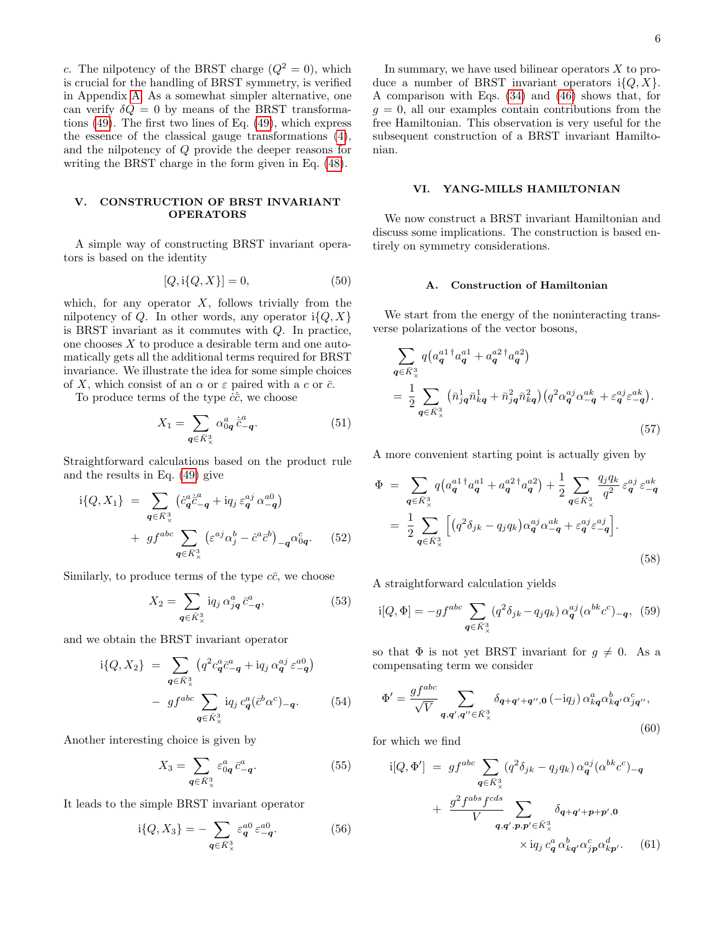c. The nilpotency of the BRST charge  $(Q^2 = 0)$ , which is crucial for the handling of BRST symmetry, is verified in Appendix [A.](#page-10-0) As a somewhat simpler alternative, one can verify  $\delta Q = 0$  by means of the BRST transformations [\(49\)](#page-4-1). The first two lines of Eq. [\(49\)](#page-4-1), which express the essence of the classical gauge transformations [\(4\)](#page-1-8), and the nilpotency of Q provide the deeper reasons for writing the BRST charge in the form given in Eq. [\(48\)](#page-4-0).

### <span id="page-5-1"></span>V. CONSTRUCTION OF BRST INVARIANT OPERATORS

A simple way of constructing BRST invariant operators is based on the identity

$$
[Q, i\{Q, X\}] = 0,\t(50)
$$

which, for any operator  $X$ , follows trivially from the nilpotency of Q. In other words, any operator  $i\{Q, X\}$ is BRST invariant as it commutes with Q. In practice, one chooses  $X$  to produce a desirable term and one automatically gets all the additional terms required for BRST invariance. We illustrate the idea for some simple choices of X, which consist of an  $\alpha$  or  $\varepsilon$  paired with a c or  $\overline{c}$ .

To produce terms of the type  $\dot{c}\dot{\bar{c}}$ , we choose

$$
X_1 = \sum_{\mathbf{q} \in \bar{K}^3_{\times}} \alpha_{0\mathbf{q}}^a \dot{\bar{c}}^a_{-\mathbf{q}}.
$$
 (51)

Straightforward calculations based on the product rule and the results in Eq. [\(49\)](#page-4-1) give

$$
i\{Q, X_1\} = \sum_{\mathbf{q} \in \mathbb{R}^3_{\times}} \left( \dot{c}_{\mathbf{q}}^a \dot{\bar{c}}_{-\mathbf{q}}^a + i q_j \, \varepsilon_{\mathbf{q}}^{aj} \, \alpha_{-\mathbf{q}}^{a0} \right) + gf^{abc} \sum_{\mathbf{q} \in \mathbb{R}^3_{\times}} \left( \varepsilon^{aj} \alpha_j^b - \dot{c}^a \bar{c}^b \right)_{-\mathbf{q}} \alpha_{0\mathbf{q}}^c. \tag{52}
$$

Similarly, to produce terms of the type  $c\bar{c}$ , we choose

$$
X_2 = \sum_{\mathbf{q} \in \bar{K}^3_{\times}} i q_j \, \alpha_{j\mathbf{q}}^a \, \bar{c}_{-\mathbf{q}}^a,\tag{53}
$$

and we obtain the BRST invariant operator

$$
i\{Q, X_2\} = \sum_{\mathbf{q} \in \bar{K}_{\times}^3} \left( q^2 c_{\mathbf{q}}^a \bar{c}_{-\mathbf{q}}^a + i q_j \alpha_{\mathbf{q}}^{aj} \epsilon_{-\mathbf{q}}^{a0} \right)
$$

$$
- g f^{abc} \sum_{\mathbf{q} \in \bar{K}_{\times}^3} i q_j c_{\mathbf{q}}^a (\bar{c}^b \alpha^c)_{-\mathbf{q}}.
$$
(54)

Another interesting choice is given by

$$
X_3 = \sum_{\mathbf{q} \in \bar{K}^3_{\times}} \varepsilon^a_{0\mathbf{q}} \, \bar{c}^a_{-\mathbf{q}}.
$$
 (55)

It leads to the simple BRST invariant operator

$$
i\{Q, X_3\} = -\sum_{\mathbf{q} \in \bar{K}^3_{\times}} \varepsilon_{\mathbf{q}}^{a0} \varepsilon_{-\mathbf{q}}^{a0}.
$$
 (56)

In summary, we have used bilinear operators  $X$  to produce a number of BRST invariant operators  $i\{Q, X\}$ . A comparison with Eqs. [\(34\)](#page-3-7) and [\(46\)](#page-4-2) shows that, for  $g = 0$ , all our examples contain contributions from the free Hamiltonian. This observation is very useful for the subsequent construction of a BRST invariant Hamiltonian.

### VI. YANG-MILLS HAMILTONIAN

We now construct a BRST invariant Hamiltonian and discuss some implications. The construction is based entirely on symmetry considerations.

### A. Construction of Hamiltonian

We start from the energy of the noninteracting transverse polarizations of the vector bosons,

$$
\sum_{\mathbf{q}\in\bar{K}_{\times}^{3}}q(a_{\mathbf{q}}^{a_{1}+a_{\mathbf{q}}^{a_{2}+a_{\mathbf{q}}^{a_{2}}})
$$
\n
$$
=\frac{1}{2}\sum_{\mathbf{q}\in\bar{K}_{\times}^{3}}\left(\bar{n}_{j\mathbf{q}}^{1}\bar{n}_{k\mathbf{q}}^{1}+\bar{n}_{j\mathbf{q}}^{2}\bar{n}_{k\mathbf{q}}^{2}\right)\left(q^{2}\alpha_{\mathbf{q}}^{aj}\alpha_{-\mathbf{q}}^{ak}+\varepsilon_{\mathbf{q}}^{aj}\varepsilon_{-\mathbf{q}}^{ak}\right).
$$
\n(57)

A more convenient starting point is actually given by

$$
\Phi = \sum_{\mathbf{q} \in \bar{K}_{\times}^{3}} q \left( a_{\mathbf{q}}^{a1 \dagger} a_{\mathbf{q}}^{a1} + a_{\mathbf{q}}^{a2 \dagger} a_{\mathbf{q}}^{a2} \right) + \frac{1}{2} \sum_{\mathbf{q} \in \bar{K}_{\times}^{3}} \frac{q_{j} q_{k}}{q^{2}} \varepsilon_{\mathbf{q}}^{a_{j}} \varepsilon_{-\mathbf{q}}^{a_{k}}
$$
\n
$$
= \frac{1}{2} \sum_{\mathbf{q} \in \bar{K}_{\times}^{3}} \left[ \left( q^{2} \delta_{jk} - q_{j} q_{k} \right) \alpha_{\mathbf{q}}^{a j} \alpha_{-\mathbf{q}}^{a k} + \varepsilon_{\mathbf{q}}^{a j} \varepsilon_{-\mathbf{q}}^{a j} \right].
$$
\n(58)

A straightforward calculation yields

<span id="page-5-0"></span>
$$
i[Q, \Phi] = -gf^{abc} \sum_{\mathbf{q} \in \bar{K}^3_{\times}} (q^2 \delta_{jk} - q_j q_k) \alpha_{\mathbf{q}}^{aj} (\alpha^{bk} c^c)_{-\mathbf{q}}, \tag{59}
$$

so that  $\Phi$  is not yet BRST invariant for  $g \neq 0$ . As a compensating term we consider

$$
\Phi' = \frac{gf^{abc}}{\sqrt{V}} \sum_{\mathbf{q}, \mathbf{q'}, \mathbf{q'} \in \bar{K}_{\times}^{3}} \delta_{\mathbf{q} + \mathbf{q'} + \mathbf{q''}, \mathbf{0}} \left( -\mathrm{i} q_{j} \right) \alpha_{k\mathbf{q}}^{a} \alpha_{k\mathbf{q'}}^{b} \alpha_{j\mathbf{q''}}^{c},\tag{60}
$$

for which we find

$$
i[Q, \Phi'] = gf^{abc} \sum_{\mathbf{q} \in \mathbb{R}_{\times}^{3}} (q^{2} \delta_{jk} - q_{j} q_{k}) \alpha_{\mathbf{q}}^{aj} (\alpha^{bk} c^{c})_{-\mathbf{q}}
$$

$$
+ \frac{g^{2} f^{abs} f^{cds}}{V} \sum_{\mathbf{q}, \mathbf{q}', \mathbf{p}, \mathbf{p}' \in \bar{\mathbb{R}}_{\times}^{3}} \delta_{\mathbf{q} + \mathbf{q}' + \mathbf{p} + \mathbf{p}', \mathbf{0}}
$$

$$
\times i q_{j} c_{\mathbf{q}}^{a} \alpha_{k \mathbf{q}'}^{b} \alpha_{j}^{c} \alpha_{k \mathbf{p}'}^{d}.
$$
 (61)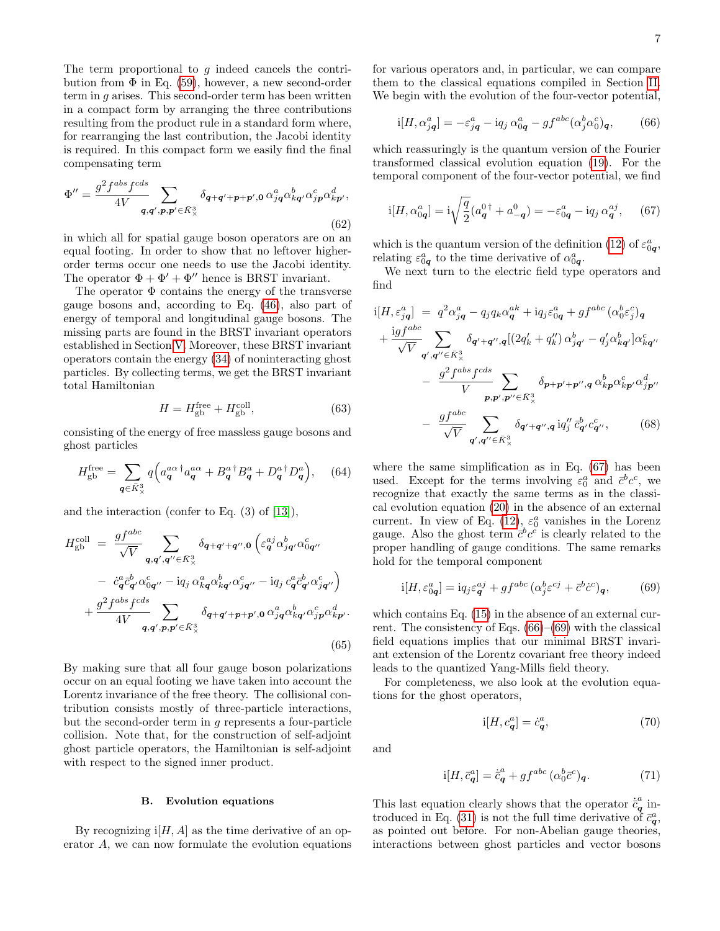The term proportional to  $g$  indeed cancels the contribution from  $\Phi$  in Eq. [\(59\)](#page-5-0), however, a new second-order term in  $q$  arises. This second-order term has been written in a compact form by arranging the three contributions resulting from the product rule in a standard form where, for rearranging the last contribution, the Jacobi identity is required. In this compact form we easily find the final compensating term

$$
\Phi'' = \frac{g^2 f^{abs} f^{cds}}{4V} \sum_{\boldsymbol{q}, \boldsymbol{q'}, \boldsymbol{p}, \boldsymbol{p'} \in \bar{K}_{\times}^3} \delta_{\boldsymbol{q} + \boldsymbol{q'} + \boldsymbol{p} + \boldsymbol{p'}, \boldsymbol{0}} \alpha_{j\boldsymbol{q}}^a \alpha_{k\boldsymbol{q'}}^b \alpha_{j\boldsymbol{p}}^c \alpha_{k\boldsymbol{p'}}^d,
$$
\n(62)

in which all for spatial gauge boson operators are on an equal footing. In order to show that no leftover higherorder terms occur one needs to use the Jacobi identity. The operator  $\Phi + \Phi' + \Phi''$  hence is BRST invariant.

The operator  $\Phi$  contains the energy of the transverse gauge bosons and, according to Eq. [\(46\)](#page-4-2), also part of energy of temporal and longitudinal gauge bosons. The missing parts are found in the BRST invariant operators established in Section [V.](#page-5-1) Moreover, these BRST invariant operators contain the energy [\(34\)](#page-3-7) of noninteracting ghost particles. By collecting terms, we get the BRST invariant total Hamiltonian

<span id="page-6-3"></span>
$$
H = H_{\text{gb}}^{\text{free}} + H_{\text{gb}}^{\text{coll}},\tag{63}
$$

consisting of the energy of free massless gauge bosons and ghost particles

$$
H_{\text{gb}}^{\text{free}} = \sum_{\mathbf{q} \in \bar{K}_{\times}^{3}} q \left( a_{\mathbf{q}}^{a\alpha \dagger} a_{\mathbf{q}}^{a\alpha} + B_{\mathbf{q}}^{a \dagger} B_{\mathbf{q}}^{a} + D_{\mathbf{q}}^{a \dagger} D_{\mathbf{q}}^{a} \right), \quad (64)
$$

and the interaction (confer to Eq. (3) of [\[13\]](#page-12-12)),

<span id="page-6-4"></span>
$$
H_{\text{gb}}^{\text{coll}} = \frac{g f^{abc}}{\sqrt{V}} \sum_{\boldsymbol{q}, \boldsymbol{q'}, \boldsymbol{q''} \in \bar{K}_{\times}^{3}} \delta_{\boldsymbol{q} + \boldsymbol{q'} + \boldsymbol{q''}, \boldsymbol{0}} \left( \varepsilon_{\boldsymbol{q}}^{aj} \alpha_{j \boldsymbol{q'}}^{b} \alpha_{0 \boldsymbol{q''}}^{c} - \dot{c}_{\boldsymbol{q}}^{a} \bar{c}_{\boldsymbol{q'}}^{b} \alpha_{0 \boldsymbol{q''}}^{c} - \text{i} q_{j} \alpha_{k \boldsymbol{q}}^{a} \alpha_{k \boldsymbol{q'}}^{b} \alpha_{j \boldsymbol{q''}}^{c} - \text{i} q_{j} \ c_{\boldsymbol{q}}^{a} \bar{c}_{\boldsymbol{q'}}^{b} \alpha_{j \boldsymbol{q''}}^{c} \right) + \frac{g^{2} f^{abs} f^{cds}}{4V} \sum_{\boldsymbol{q}, \boldsymbol{q'}, \boldsymbol{p}, \boldsymbol{p'} \in \bar{K}_{\times}^{3}} \delta_{\boldsymbol{q} + \boldsymbol{q'} + \boldsymbol{p} + \boldsymbol{p'}, \boldsymbol{0}} \alpha_{j \boldsymbol{q}}^{a} \alpha_{k \boldsymbol{q'}}^{b} \alpha_{j \boldsymbol{p}}^{c} \alpha_{k \boldsymbol{p'}}^{d}.
$$
\n
$$
(65)
$$

By making sure that all four gauge boson polarizations occur on an equal footing we have taken into account the Lorentz invariance of the free theory. The collisional contribution consists mostly of three-particle interactions, but the second-order term in g represents a four-particle collision. Note that, for the construction of self-adjoint ghost particle operators, the Hamiltonian is self-adjoint with respect to the signed inner product.

### B. Evolution equations

By recognizing  $i[H, A]$  as the time derivative of an operator A, we can now formulate the evolution equations for various operators and, in particular, we can compare them to the classical equations compiled in Section [II.](#page-1-10) We begin with the evolution of the four-vector potential,

<span id="page-6-1"></span>
$$
i[H, \alpha_{j\mathbf{q}}^a] = -\varepsilon_{j\mathbf{q}}^a - i q_j \alpha_{0\mathbf{q}}^a - g f^{abc} (\alpha_j^b \alpha_0^c)_{\mathbf{q}},\qquad(66)
$$

which reassuringly is the quantum version of the Fourier transformed classical evolution equation [\(19\)](#page-1-11). For the temporal component of the four-vector potential, we find

<span id="page-6-0"></span>
$$
i[H, \alpha_{0\mathbf{q}}^a] = i\sqrt{\frac{q}{2}}(a_{\mathbf{q}}^{0\dagger} + a_{-\mathbf{q}}^0) = -\varepsilon_{0\mathbf{q}}^a - iq_j \alpha_{\mathbf{q}}^{aj}, \qquad (67)
$$

which is the quantum version of the definition [\(12\)](#page-1-7) of  $\varepsilon_{0\mathbf{q}}^a$ , relating  $\varepsilon_{0\mathbf{q}}^a$  to the time derivative of  $\alpha_{0\mathbf{q}}^a$ .

We next turn to the electric field type operators and find

$$
i[H, \varepsilon_{j\mathbf{q}}^a] = q^2 \alpha_{j\mathbf{q}}^a - q_j q_k \alpha_{\mathbf{q}}^{ak} + i q_j \varepsilon_{0\mathbf{q}}^a + g f^{abc} (\alpha_0^b \varepsilon_j^c)_{\mathbf{q}}
$$
  
+ 
$$
\frac{ig f^{abc}}{\sqrt{V}} \sum_{\mathbf{q}', \mathbf{q}'' \in \bar{K}^3_{\times}} \delta_{\mathbf{q}'+\mathbf{q}'', \mathbf{q}} [(2q'_k + q''_k) \alpha_{j\mathbf{q}'}^b - q'_j \alpha_{k\mathbf{q}'}^b] \alpha_{k\mathbf{q}''}^c
$$

$$
- \frac{g^2 f^{abs} f^{cds}}{V} \sum_{\mathbf{p}, \mathbf{p}', \mathbf{p}'' \in \bar{K}^3_{\times}} \delta_{\mathbf{p}+\mathbf{p}'+\mathbf{p}'', \mathbf{q}} \alpha_{k\mathbf{p}}^b \alpha_{k\mathbf{p}'}^c \alpha_{j\mathbf{p}''}^d
$$

$$
- \frac{gf^{abc}}{\sqrt{V}} \sum_{\mathbf{q}', \mathbf{q}'' \in \bar{K}^3_{\times}} \delta_{\mathbf{q}'+\mathbf{q}'', \mathbf{q}} i q''_j \bar{c}_{\mathbf{q}'}^b c_{\mathbf{q}''}^c,
$$
(68)

where the same simplification as in Eq. [\(67\)](#page-6-0) has been used. Except for the terms involving  $\varepsilon_0^a$  and  $\bar{c}^b c^c$ , we recognize that exactly the same terms as in the classical evolution equation [\(20\)](#page-2-2) in the absence of an external current. In view of Eq. [\(12\)](#page-1-7),  $\varepsilon_0^a$  vanishes in the Lorenz gauge. Also the ghost term  $\bar{c}^b c^c$  is clearly related to the proper handling of gauge conditions. The same remarks hold for the temporal component

<span id="page-6-2"></span>
$$
i[H, \varepsilon_{0\mathbf{q}}^a] = i q_j \varepsilon_{\mathbf{q}}^{aj} + g f^{abc} \left( \alpha_j^b \varepsilon^{cj} + \bar{c}^b \dot{c}^c \right)_{\mathbf{q}},\tag{69}
$$

which contains Eq. [\(15\)](#page-1-5) in the absence of an external current. The consistency of Eqs.  $(66)$ – $(69)$  with the classical field equations implies that our minimal BRST invariant extension of the Lorentz covariant free theory indeed leads to the quantized Yang-Mills field theory.

For completeness, we also look at the evolution equations for the ghost operators,

$$
i[H, c_q^a] = \dot{c}_q^a,\tag{70}
$$

and

$$
\mathbf{i}[H,\bar{c}_{\mathbf{q}}^{a}] = \dot{\bar{c}}_{\mathbf{q}}^{a} + gf^{abc} \left( \alpha_{0}^{b} \bar{c}^{c} \right)_{\mathbf{q}}.\tag{71}
$$

This last equation clearly shows that the operator  $\dot{\bar{c}}_q^a$  $\frac{a}{q}$  in-troduced in Eq. [\(31\)](#page-3-2) is not the full time derivative of  $\bar{c}_q^a$ , as pointed out before. For non-Abelian gauge theories, interactions between ghost particles and vector bosons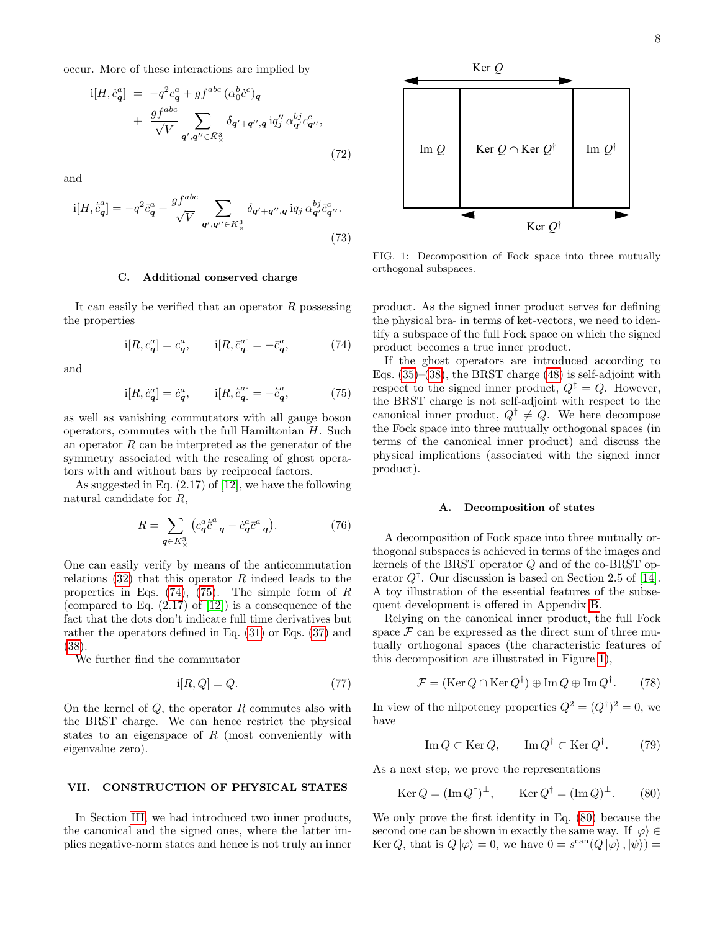occur. More of these interactions are implied by

$$
i[H, \dot{c}_{\mathbf{q}}^{a}] = -q^{2}c_{\mathbf{q}}^{a} + gf^{abc} (\alpha_{0}^{b} \dot{c}^{c})_{\mathbf{q}} + \frac{gf^{abc}}{\sqrt{V}} \sum_{\mathbf{q}', \mathbf{q}'' \in \bar{K}_{\times}^{3}} \delta_{\mathbf{q}'+\mathbf{q}'', \mathbf{q}} iq_{j}'' \alpha_{\mathbf{q}'}^{bj} c_{\mathbf{q}''}^{c},
$$
\n
$$
(72)
$$

and

$$
\mathrm{i}[H,\dot{\tilde{c}}_{\mathbf{q}}^a] = -q^2 \bar{c}_{\mathbf{q}}^a + \frac{g f^{abc}}{\sqrt{V}} \sum_{\mathbf{q}',\mathbf{q}'' \in \bar{K}_{\times}^3} \delta_{\mathbf{q}'+\mathbf{q}'',\mathbf{q}} \,\mathrm{i} q_j \,\alpha_{\mathbf{q}'}^{bj} \bar{c}_{\mathbf{q}''}^c. \tag{73}
$$

## <span id="page-7-0"></span>C. Additional conserved charge

It can easily be verified that an operator R possessing the properties

<span id="page-7-1"></span>
$$
i[R, c_q^a] = c_q^a, \t i[R, \bar{c}_q^a] = -\bar{c}_q^a,
$$
\t(74)

and

<span id="page-7-2"></span>
$$
i[R, \dot{c}_q^a] = \dot{c}_q^a, \qquad i[R, \dot{\bar{c}}_q^a] = -\dot{\bar{c}}_q^a,\tag{75}
$$

as well as vanishing commutators with all gauge boson operators, commutes with the full Hamiltonian H. Such an operator  $R$  can be interpreted as the generator of the symmetry associated with the rescaling of ghost operators with and without bars by reciprocal factors.

As suggested in Eq. (2.17) of [\[12\]](#page-12-11), we have the following natural candidate for R,

$$
R = \sum_{\mathbf{q} \in \bar{K}_{\times}^{3}} \left( c_{\mathbf{q}}^{a} \dot{c}_{-\mathbf{q}}^{a} - \dot{c}_{\mathbf{q}}^{a} \dot{c}_{-\mathbf{q}}^{a} \right). \tag{76}
$$

One can easily verify by means of the anticommutation relations  $(32)$  that this operator R indeed leads to the properties in Eqs.  $(74)$ ,  $(75)$ . The simple form of R (compared to Eq.  $(2.17)$  of  $[12]$ ) is a consequence of the fact that the dots don't indicate full time derivatives but rather the operators defined in Eq. [\(31\)](#page-3-2) or Eqs. [\(37\)](#page-3-9) and [\(38\)](#page-3-5).

We further find the commutator

$$
i[R,Q] = Q.\t(77)
$$

On the kernel of  $Q$ , the operator  $R$  commutes also with the BRST charge. We can hence restrict the physical states to an eigenspace of  $R$  (most conveniently with eigenvalue zero).

### VII. CONSTRUCTION OF PHYSICAL STATES

In Section [III,](#page-2-3) we had introduced two inner products, the canonical and the signed ones, where the latter implies negative-norm states and hence is not truly an inner



<span id="page-7-3"></span>FIG. 1: Decomposition of Fock space into three mutually orthogonal subspaces.

product. As the signed inner product serves for defining the physical bra- in terms of ket-vectors, we need to identify a subspace of the full Fock space on which the signed product becomes a true inner product.

If the ghost operators are introduced according to Eqs.  $(35)$ – $(38)$ , the BRST charge  $(48)$  is self-adjoint with respect to the signed inner product,  $Q^{\ddagger} = Q$ . However, the BRST charge is not self-adjoint with respect to the canonical inner product,  $Q^{\dagger} \neq Q$ . We here decompose the Fock space into three mutually orthogonal spaces (in terms of the canonical inner product) and discuss the physical implications (associated with the signed inner product).

#### A. Decomposition of states

A decomposition of Fock space into three mutually orthogonal subspaces is achieved in terms of the images and kernels of the BRST operator Q and of the co-BRST operator  $Q^{\dagger}$ . Our discussion is based on Section 2.5 of [\[14\]](#page-12-13). A toy illustration of the essential features of the subsequent development is offered in Appendix [B.](#page-11-0)

Relying on the canonical inner product, the full Fock space  $\mathcal F$  can be expressed as the direct sum of three mutually orthogonal spaces (the characteristic features of this decomposition are illustrated in Figure [1\)](#page-7-3),

<span id="page-7-6"></span>
$$
\mathcal{F} = (\text{Ker } Q \cap \text{Ker } Q^{\dagger}) \oplus \text{Im } Q \oplus \text{Im } Q^{\dagger}.
$$
 (78)

In view of the nilpotency properties  $Q^2 = (Q^{\dagger})^2 = 0$ , we have

<span id="page-7-5"></span>
$$
\operatorname{Im} Q \subset \operatorname{Ker} Q, \qquad \operatorname{Im} Q^{\dagger} \subset \operatorname{Ker} Q^{\dagger}.
$$
 (79)

As a next step, we prove the representations

<span id="page-7-4"></span>
$$
\operatorname{Ker} Q = (\operatorname{Im} Q^{\dagger})^{\perp}, \qquad \operatorname{Ker} Q^{\dagger} = (\operatorname{Im} Q)^{\perp}. \tag{80}
$$

We only prove the first identity in Eq. [\(80\)](#page-7-4) because the second one can be shown in exactly the same way. If  $|\varphi\rangle \in$ Ker Q, that is  $Q|\varphi\rangle = 0$ , we have  $0 = s^{\text{can}}(Q|\varphi\rangle, |\psi\rangle) =$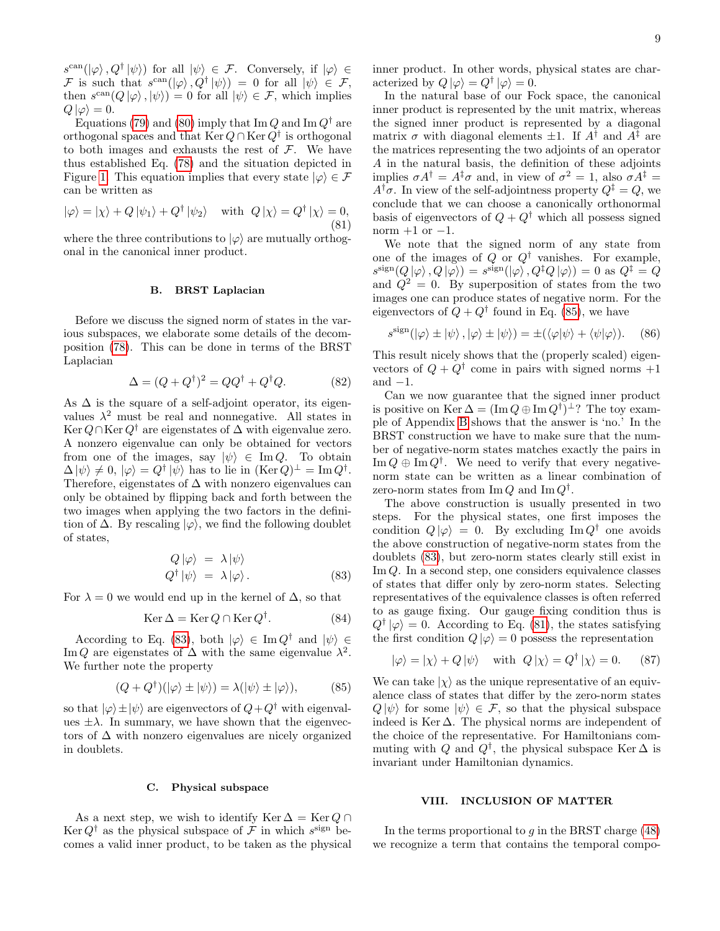$s^{\text{can}}(\ket{\varphi}, Q^{\dagger} \ket{\psi})$  for all  $\ket{\psi} \in \mathcal{F}$ . Conversely, if  $\ket{\varphi} \in$ F is such that  $s^{\text{can}}(|\varphi\rangle, Q^{\dagger}|\psi\rangle) = 0$  for all  $|\psi\rangle \in \mathcal{F}$ , then  $s^{\text{can}}(Q|\varphi\rangle, |\psi\rangle) = 0$  for all  $|\psi\rangle \in \mathcal{F}$ , which implies  $Q |\varphi\rangle = 0.$ 

Equations [\(79\)](#page-7-5) and [\(80\)](#page-7-4) imply that Im Q and Im  $Q^{\dagger}$  are orthogonal spaces and that Ker  $Q \cap \text{Ker } Q^{\dagger}$  is orthogonal to both images and exhausts the rest of  $\mathcal{F}$ . We have thus established Eq. [\(78\)](#page-7-6) and the situation depicted in Figure [1.](#page-7-3) This equation implies that every state  $|\varphi\rangle \in \mathcal{F}$ can be written as

<span id="page-8-2"></span>
$$
|\varphi\rangle = |\chi\rangle + Q |\psi_1\rangle + Q^{\dagger} |\psi_2\rangle \quad \text{with} \quad Q |\chi\rangle = Q^{\dagger} |\chi\rangle = 0,
$$
\n(81)

where the three contributions to  $|\varphi\rangle$  are mutually orthogonal in the canonical inner product.

### B. BRST Laplacian

Before we discuss the signed norm of states in the various subspaces, we elaborate some details of the decomposition [\(78\)](#page-7-6). This can be done in terms of the BRST Laplacian

$$
\Delta = (Q + Q^{\dagger})^2 = QQ^{\dagger} + Q^{\dagger}Q. \tag{82}
$$

As  $\Delta$  is the square of a self-adjoint operator, its eigenvalues  $\lambda^2$  must be real and nonnegative. All states in Ker  $Q \cap \text{Ker } Q^{\dagger}$  are eigenstates of  $\Delta$  with eigenvalue zero. A nonzero eigenvalue can only be obtained for vectors from one of the images, say  $|\psi\rangle \in \text{Im } Q$ . To obtain  $\Delta |\psi\rangle \neq 0, |\varphi\rangle = Q^{\dagger} |\psi\rangle$  has to lie in  $(\text{Ker } Q)^{\perp} = \text{Im } Q^{\dagger}$ . Therefore, eigenstates of  $\Delta$  with nonzero eigenvalues can only be obtained by flipping back and forth between the two images when applying the two factors in the definition of  $\Delta$ . By rescaling  $|\varphi\rangle$ , we find the following doublet of states,

<span id="page-8-0"></span>
$$
Q|\varphi\rangle = \lambda |\psi\rangle
$$
  
\n
$$
Q^{\dagger}|\psi\rangle = \lambda |\varphi\rangle.
$$
 (83)

For  $\lambda = 0$  we would end up in the kernel of  $\Delta$ , so that

$$
Ker \Delta = Ker Q \cap Ker Q^{\dagger}.
$$
 (84)

According to Eq. [\(83\)](#page-8-0), both  $|\varphi\rangle \in \text{Im } Q^{\dagger}$  and  $|\psi\rangle \in$ Im Q are eigenstates of  $\Delta$  with the same eigenvalue  $\lambda^2$ . We further note the property

<span id="page-8-1"></span>
$$
(Q + Q^{\dagger})(|\varphi\rangle \pm |\psi\rangle) = \lambda(|\psi\rangle \pm |\varphi\rangle), \tag{85}
$$

so that  $|\varphi\rangle \pm |\psi\rangle$  are eigenvectors of  $Q+Q^{\dagger}$  with eigenvalues  $\pm \lambda$ . In summary, we have shown that the eigenvectors of  $\Delta$  with nonzero eigenvalues are nicely organized in doublets.

#### C. Physical subspace

As a next step, we wish to identify Ker  $\Delta = \text{Ker }Q \cap$ Ker  $Q^{\dagger}$  as the physical subspace of  $\mathcal F$  in which  $s^{\text{sign}}$  becomes a valid inner product, to be taken as the physical

inner product. In other words, physical states are characterized by  $Q |\varphi\rangle = Q^{\dagger} |\varphi\rangle = 0.$ 

In the natural base of our Fock space, the canonical inner product is represented by the unit matrix, whereas the signed inner product is represented by a diagonal matrix  $\sigma$  with diagonal elements  $\pm 1$ . If  $A^{\dagger}$  and  $A^{\dagger}$  are the matrices representing the two adjoints of an operator A in the natural basis, the definition of these adjoints implies  $\sigma A^{\dagger} = A^{\ddagger} \sigma$  and, in view of  $\sigma^2 = 1$ , also  $\sigma A^{\ddagger} =$  $A^{\dagger}\sigma$ . In view of the self-adjointness property  $Q^{\ddagger} = Q$ , we conclude that we can choose a canonically orthonormal basis of eigenvectors of  $Q + Q^{\dagger}$  which all possess signed norm  $+1$  or  $-1.$ 

We note that the signed norm of any state from one of the images of  $Q$  or  $Q^{\dagger}$  vanishes. For example,  $s^{\text{sign}}(Q|\varphi\rangle, Q|\varphi\rangle) = s^{\text{sign}}(|\varphi\rangle, Q^{\ddagger}Q|\varphi\rangle) = 0$  as  $Q^{\ddagger} = Q$ and  $Q^2 = 0$ . By superposition of states from the two images one can produce states of negative norm. For the eigenvectors of  $Q + Q^{\dagger}$  found in Eq. [\(85\)](#page-8-1), we have

$$
s^{\text{sign}}(|\varphi\rangle \pm |\psi\rangle, |\varphi\rangle \pm |\psi\rangle) = \pm (\langle \varphi | \psi \rangle + \langle \psi | \varphi \rangle). \quad (86)
$$

This result nicely shows that the (properly scaled) eigenvectors of  $Q + Q^{\dagger}$  come in pairs with signed norms  $+1$ and  $-1$ .

Can we now guarantee that the signed inner product is positive on  $\text{Ker }\Delta = (\text{Im }Q \oplus \text{Im }Q^{\dagger})^{\perp}$ ? The toy example of Appendix [B](#page-11-0) shows that the answer is 'no.' In the BRST construction we have to make sure that the number of negative-norm states matches exactly the pairs in Im  $Q \oplus \text{Im } Q^{\dagger}$ . We need to verify that every negativenorm state can be written as a linear combination of zero-norm states from  $\text{Im }Q$  and  $\text{Im }Q^{\dagger}$ .

The above construction is usually presented in two steps. For the physical states, one first imposes the condition  $Q |\varphi\rangle = 0$ . By excluding Im  $Q^{\dagger}$  one avoids the above construction of negative-norm states from the doublets [\(83\)](#page-8-0), but zero-norm states clearly still exist in Im Q. In a second step, one considers equivalence classes of states that differ only by zero-norm states. Selecting representatives of the equivalence classes is often referred to as gauge fixing. Our gauge fixing condition thus is  $Q^{\dagger}|\varphi\rangle = 0$ . According to Eq. [\(81\)](#page-8-2), the states satisfying the first condition  $Q |\varphi\rangle = 0$  possess the representation

$$
|\varphi\rangle = |\chi\rangle + Q |\psi\rangle
$$
 with  $Q |\chi\rangle = Q^{\dagger} |\chi\rangle = 0.$  (87)

We can take  $|\chi\rangle$  as the unique representative of an equivalence class of states that differ by the zero-norm states  $Q|\psi\rangle$  for some  $|\psi\rangle \in \mathcal{F}$ , so that the physical subspace indeed is Ker $\Delta$ . The physical norms are independent of the choice of the representative. For Hamiltonians commuting with Q and  $Q^{\dagger}$ , the physical subspace Ker $\Delta$  is invariant under Hamiltonian dynamics.

### VIII. INCLUSION OF MATTER

In the terms proportional to q in the BRST charge  $(48)$ we recognize a term that contains the temporal compo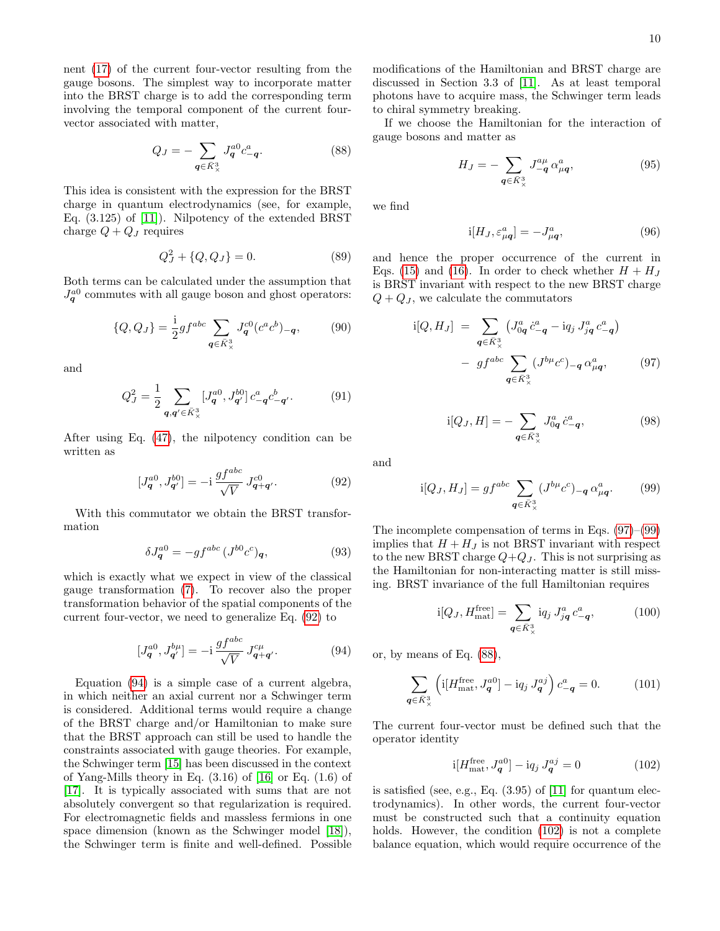nent [\(17\)](#page-1-12) of the current four-vector resulting from the gauge bosons. The simplest way to incorporate matter into the BRST charge is to add the corresponding term involving the temporal component of the current fourvector associated with matter,

<span id="page-9-4"></span>
$$
Q_J = -\sum_{\mathbf{q} \in \bar{K}^3_{\times}} J_{\mathbf{q}}^{a0} c_{-\mathbf{q}}^a.
$$
 (88)

This idea is consistent with the expression for the BRST charge in quantum electrodynamics (see, for example, Eq. (3.125) of [\[11\]](#page-12-10)). Nilpotency of the extended BRST charge  $Q + Q_J$  requires

$$
Q_J^2 + \{Q, Q_J\} = 0.
$$
 (89)

Both terms can be calculated under the assumption that  $J_{q}^{a0}$  commutes with all gauge boson and ghost operators:

$$
\{Q, Q_J\} = \frac{1}{2} g f^{abc} \sum_{\mathbf{q} \in \bar{K}^3_{\times}} J_{\mathbf{q}}^{c0} (c^a c^b)_{-\mathbf{q}}, \tag{90}
$$

and

$$
Q_J^2 = \frac{1}{2} \sum_{\mathbf{q}, \mathbf{q}' \in \bar{K}_\times^3} [J_\mathbf{q}^{a0}, J_\mathbf{q}^{b0}] c_{-\mathbf{q}}^a c_{-\mathbf{q}'}^b. \tag{91}
$$

After using Eq. [\(47\)](#page-4-3), the nilpotency condition can be written as

<span id="page-9-0"></span>
$$
[J_q^{a0}, J_{q'}^{b0}] = -i \frac{g f^{abc}}{\sqrt{V}} J_{q+q'}^{c0}.
$$
 (92)

With this commutator we obtain the BRST transformation

$$
\delta J_{\mathbf{q}}^{a0} = -gf^{abc} \left( J^{b0} c^c \right)_{\mathbf{q}},\tag{93}
$$

which is exactly what we expect in view of the classical gauge transformation [\(7\)](#page-1-13). To recover also the proper transformation behavior of the spatial components of the current four-vector, we need to generalize Eq. [\(92\)](#page-9-0) to

<span id="page-9-1"></span>
$$
[J_q^{a0}, J_{q'}^{b\mu}] = -i \frac{g f^{abc}}{\sqrt{V}} J_{q+q'}^{c\mu}.
$$
 (94)

Equation [\(94\)](#page-9-1) is a simple case of a current algebra, in which neither an axial current nor a Schwinger term is considered. Additional terms would require a change of the BRST charge and/or Hamiltonian to make sure that the BRST approach can still be used to handle the constraints associated with gauge theories. For example, the Schwinger term [\[15\]](#page-12-14) has been discussed in the context of Yang-Mills theory in Eq.  $(3.16)$  of [\[16\]](#page-12-15) or Eq.  $(1.6)$  of [\[17\]](#page-12-16). It is typically associated with sums that are not absolutely convergent so that regularization is required. For electromagnetic fields and massless fermions in one space dimension (known as the Schwinger model [\[18\]](#page-12-17)), the Schwinger term is finite and well-defined. Possible

modifications of the Hamiltonian and BRST charge are discussed in Section 3.3 of [\[11\]](#page-12-10). As at least temporal photons have to acquire mass, the Schwinger term leads to chiral symmetry breaking.

If we choose the Hamiltonian for the interaction of gauge bosons and matter as

<span id="page-9-6"></span>
$$
H_J = -\sum_{\mathbf{q} \in \bar{K}^3_{\times}} J_{-\mathbf{q}}^{\alpha\mu} \alpha_{\mu\mathbf{q}}^a, \tag{95}
$$

we find

$$
i[H_J, \varepsilon_{\mu q}^a] = -J_{\mu q}^a,\tag{96}
$$

and hence the proper occurrence of the current in Eqs. [\(15\)](#page-1-5) and [\(16\)](#page-1-4). In order to check whether  $H + H<sub>J</sub>$ is BRST invariant with respect to the new BRST charge  $Q + Q_J$ , we calculate the commutators

<span id="page-9-2"></span>
$$
i[Q, H_J] = \sum_{\mathbf{q} \in \bar{K}_{\times}^3} \left( J_{0\mathbf{q}}^a \, \dot{c}_{-\mathbf{q}}^a - i q_j \, J_{j\mathbf{q}}^a \, c_{-\mathbf{q}}^a \right) - g f^{abc} \sum_{\mathbf{q} \in \bar{K}_{\times}^3} \left( J^{b\mu} c^c \right)_{-\mathbf{q}} \alpha_{\mu \mathbf{q}}^a, \tag{97}
$$

$$
i[Q_J, H] = -\sum_{\mathbf{q} \in \bar{K}^3_{\times}} J^a_{0\mathbf{q}} \, \dot{c}^a_{-\mathbf{q}}, \tag{98}
$$

and

<span id="page-9-3"></span>
$$
i[Q_J, H_J] = gf^{abc} \sum_{\mathbf{q} \in \bar{K}^3_{\times}} (J^{b\mu} c^c)_{-\mathbf{q}} \alpha^a_{\mu \mathbf{q}}.
$$
 (99)

The incomplete compensation of terms in Eqs. [\(97\)](#page-9-2)–[\(99\)](#page-9-3) implies that  $H + H_J$  is not BRST invariant with respect to the new BRST charge  $Q+Q_J$ . This is not surprising as the Hamiltonian for non-interacting matter is still missing. BRST invariance of the full Hamiltonian requires

$$
i[Q_J, H_{\text{mat}}^{\text{free}}] = \sum_{\mathbf{q} \in \bar{K}^3_{\times}} i q_j J_{j\mathbf{q}}^a c^a_{-\mathbf{q}}, \qquad (100)
$$

or, by means of Eq. [\(88\)](#page-9-4),

$$
\sum_{\mathbf{q} \in \bar{K}_{\times}^{3}} \left( i[H_{\text{mat}}^{\text{free}}, J_{\mathbf{q}}^{a0}] - iq_{j} J_{\mathbf{q}}^{aj} \right) c_{-\mathbf{q}}^{a} = 0. \tag{101}
$$

The current four-vector must be defined such that the operator identity

<span id="page-9-5"></span>
$$
i[H_{\text{mat}}^{\text{free}}, J_q^{a0}] - iq_j J_q^{aj} = 0 \tag{102}
$$

is satisfied (see, e.g., Eq.  $(3.95)$  of [\[11\]](#page-12-10) for quantum electrodynamics). In other words, the current four-vector must be constructed such that a continuity equation holds. However, the condition  $(102)$  is not a complete balance equation, which would require occurrence of the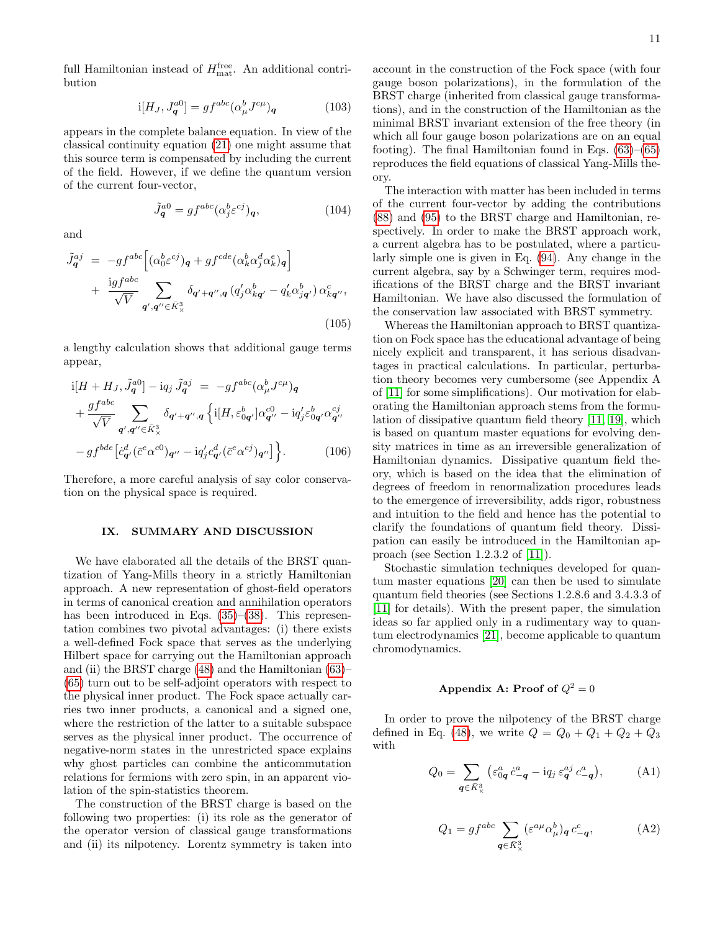full Hamiltonian instead of  $H_{\text{mat}}^{\text{free}}$ . An additional contribution

$$
\mathrm{i}[H_J, J_q^{a0}] = gf^{abc} (\alpha_\mu^b J^{c\mu})_q \tag{103}
$$

appears in the complete balance equation. In view of the classical continuity equation [\(21\)](#page-2-4) one might assume that this source term is compensated by including the current of the field. However, if we define the quantum version of the current four-vector,

$$
\tilde{J}_{\mathbf{q}}^{a0} = gf^{abc} (\alpha_j^b \varepsilon^{cj})_{\mathbf{q}},\tag{104}
$$

and

$$
\tilde{J}_{\mathbf{q}}^{aj} = -gf^{abc} \left[ (\alpha_0^b \varepsilon^{cj})_{\mathbf{q}} + gf^{cde} (\alpha_k^b \alpha_j^d \alpha_k^e)_{\mathbf{q}} \right] \n+ \frac{igf^{abc}}{\sqrt{V}} \sum_{\mathbf{q}', \mathbf{q}'' \in \bar{K}_{\times}^3} \delta_{\mathbf{q}'+\mathbf{q}'', \mathbf{q}} (q'_j \alpha_{k\mathbf{q}'}^b - q'_k \alpha_{j\mathbf{q}'}^b) \alpha_{k\mathbf{q}''}^c,
$$
\n(105)

a lengthy calculation shows that additional gauge terms appear,

$$
i[H + H_J, \tilde{J}_q^{a0}] - i q_j \tilde{J}_q^{aj} = -gf^{abc} (\alpha_\mu^b J^{c\mu})_q
$$
  
+ 
$$
\frac{gf^{abc}}{\sqrt{V}} \sum_{\mathbf{q}', \mathbf{q}'' \in \bar{K}_\times^3} \delta_{\mathbf{q}'+\mathbf{q}'', \mathbf{q}} \left\{ i[H, \varepsilon_{0\mathbf{q}'}^b] \alpha_{\mathbf{q}''}^{c0} - i q_j' \varepsilon_{0\mathbf{q}'}^b \alpha_{\mathbf{q}''}^{cj} \right\}
$$
  
- 
$$
gf^{bde} \left[ \dot{c}_{\mathbf{q}'}^d (\bar{c}^e \alpha^{c0})_{\mathbf{q}''} - i q_j' c_{\mathbf{q}'}^d (\bar{c}^e \alpha^{cj})_{\mathbf{q}''} \right] \right\}.
$$
 (106)

Therefore, a more careful analysis of say color conservation on the physical space is required.

### IX. SUMMARY AND DISCUSSION

We have elaborated all the details of the BRST quantization of Yang-Mills theory in a strictly Hamiltonian approach. A new representation of ghost-field operators in terms of canonical creation and annihilation operators has been introduced in Eqs.  $(35)$ – $(38)$ . This representation combines two pivotal advantages: (i) there exists a well-defined Fock space that serves as the underlying Hilbert space for carrying out the Hamiltonian approach and (ii) the BRST charge [\(48\)](#page-4-0) and the Hamiltonian [\(63\)](#page-6-3)– [\(65\)](#page-6-4) turn out to be self-adjoint operators with respect to the physical inner product. The Fock space actually carries two inner products, a canonical and a signed one, where the restriction of the latter to a suitable subspace serves as the physical inner product. The occurrence of negative-norm states in the unrestricted space explains why ghost particles can combine the anticommutation relations for fermions with zero spin, in an apparent violation of the spin-statistics theorem.

The construction of the BRST charge is based on the following two properties: (i) its role as the generator of the operator version of classical gauge transformations and (ii) its nilpotency. Lorentz symmetry is taken into

account in the construction of the Fock space (with four gauge boson polarizations), in the formulation of the BRST charge (inherited from classical gauge transformations), and in the construction of the Hamiltonian as the minimal BRST invariant extension of the free theory (in which all four gauge boson polarizations are on an equal footing). The final Hamiltonian found in Eqs.  $(63)$ – $(65)$ reproduces the field equations of classical Yang-Mills theory.

The interaction with matter has been included in terms of the current four-vector by adding the contributions [\(88\)](#page-9-4) and [\(95\)](#page-9-6) to the BRST charge and Hamiltonian, respectively. In order to make the BRST approach work, a current algebra has to be postulated, where a particularly simple one is given in Eq. [\(94\)](#page-9-1). Any change in the current algebra, say by a Schwinger term, requires modifications of the BRST charge and the BRST invariant Hamiltonian. We have also discussed the formulation of the conservation law associated with BRST symmetry.

Whereas the Hamiltonian approach to BRST quantization on Fock space has the educational advantage of being nicely explicit and transparent, it has serious disadvantages in practical calculations. In particular, perturbation theory becomes very cumbersome (see Appendix A of [\[11\]](#page-12-10) for some simplifications). Our motivation for elaborating the Hamiltonian approach stems from the formulation of dissipative quantum field theory [\[11,](#page-12-10) [19\]](#page-12-18), which is based on quantum master equations for evolving density matrices in time as an irreversible generalization of Hamiltonian dynamics. Dissipative quantum field theory, which is based on the idea that the elimination of degrees of freedom in renormalization procedures leads to the emergence of irreversibility, adds rigor, robustness and intuition to the field and hence has the potential to clarify the foundations of quantum field theory. Dissipation can easily be introduced in the Hamiltonian approach (see Section 1.2.3.2 of [\[11\]](#page-12-10)).

Stochastic simulation techniques developed for quantum master equations [\[20\]](#page-12-19) can then be used to simulate quantum field theories (see Sections 1.2.8.6 and 3.4.3.3 of [\[11\]](#page-12-10) for details). With the present paper, the simulation ideas so far applied only in a rudimentary way to quantum electrodynamics [\[21\]](#page-12-20), become applicable to quantum chromodynamics.

### <span id="page-10-0"></span>Appendix A: Proof of  $Q^2 = 0$

In order to prove the nilpotency of the BRST charge defined in Eq. [\(48\)](#page-4-0), we write  $Q = Q_0 + Q_1 + Q_2 + Q_3$ with

$$
Q_0 = \sum_{\mathbf{q} \in \bar{K}^3_{\times}} \left( \varepsilon_{0\mathbf{q}}^a \, \dot{c}_{-\mathbf{q}}^a - \mathrm{i} q_j \, \varepsilon_{\mathbf{q}}^{aj} \, c_{-\mathbf{q}}^a \right), \tag{A1}
$$

$$
Q_1 = gf^{abc} \sum_{\mathbf{q} \in \bar{K}^3_{\times}} (\varepsilon^{a\mu} \alpha^b_{\mu})_{\mathbf{q}} c^c_{-\mathbf{q}}, \tag{A2}
$$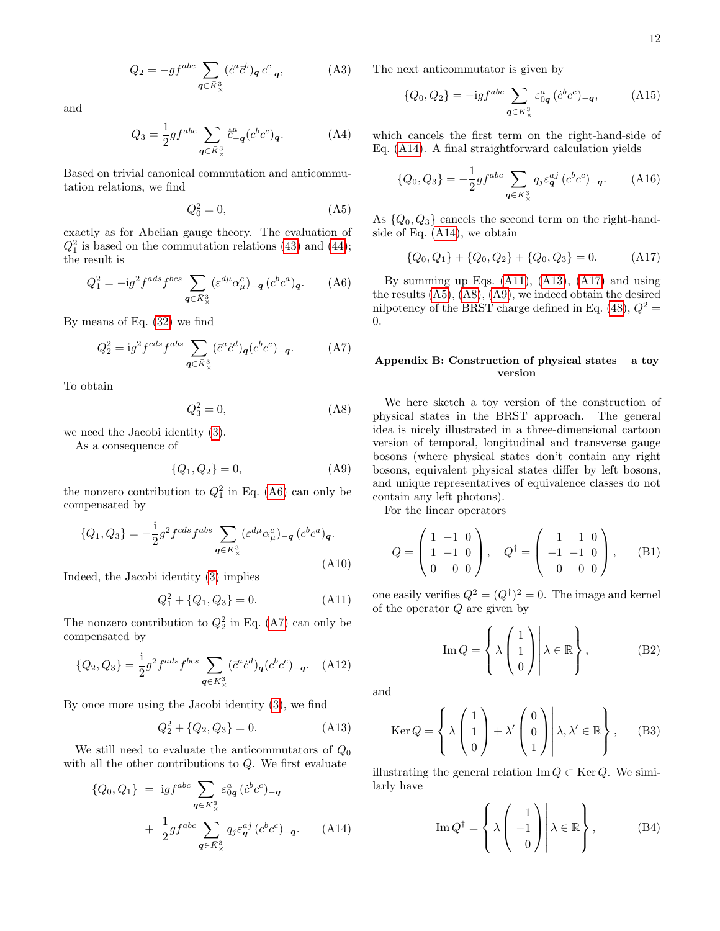$$
Q_2 = -gf^{abc} \sum_{\mathbf{q} \in \bar{K}^3_{\times}} (\dot{c}^a \bar{c}^b)_{\mathbf{q}} c^c_{-\mathbf{q}}, \tag{A3}
$$

and

$$
Q_3 = \frac{1}{2}gf^{abc} \sum_{\mathbf{q} \in \bar{K}^3_{\times}} \dot{\bar{c}}_{-\mathbf{q}}^a (c^b c^c)_{\mathbf{q}}.
$$
 (A4)

Based on trivial canonical commutation and anticommutation relations, we find

<span id="page-11-7"></span>
$$
Q_0^2 = 0,\t\t(A5)
$$

exactly as for Abelian gauge theory. The evaluation of  $Q_1^2$  is based on the commutation relations [\(43\)](#page-4-4) and [\(44\)](#page-4-5); the result is

<span id="page-11-1"></span>
$$
Q_1^2 = -ig^2 f^{ads} f^{bcs} \sum_{\mathbf{q} \in \bar{K}^3_{\times}} (\varepsilon^{d\mu} \alpha_{\mu}^c)_{-\mathbf{q}} (c^b c^a)_{\mathbf{q}}.
$$
 (A6)

By means of Eq. [\(32\)](#page-3-6) we find

<span id="page-11-2"></span>
$$
Q_2^2 = ig^2 f^{cds} f^{abs} \sum_{\mathbf{q} \in \bar{K}_\times^3} (\bar{c}^a \dot{c}^d)_{\mathbf{q}} (c^b c^c)_{-\mathbf{q}}.
$$
 (A7)

To obtain

<span id="page-11-8"></span>
$$
Q_3^2 = 0,\t\t(A8)
$$

we need the Jacobi identity [\(3\)](#page-1-14).

As a consequence of

<span id="page-11-9"></span>
$$
\{Q_1, Q_2\} = 0,\t(A9)
$$

the nonzero contribution to  $Q_1^2$  in Eq. [\(A6\)](#page-11-1) can only be compensated by

$$
\{Q_1, Q_3\} = -\frac{1}{2}g^2 f^{cds} f^{abs} \sum_{\mathbf{q} \in \bar{K}^3_{\times}} (\varepsilon^{d\mu} \alpha_{\mu}^c)_{-\mathbf{q}} (c^b c^a)_{\mathbf{q}}.
$$
\n(A10)

Indeed, the Jacobi identity [\(3\)](#page-1-14) implies

<span id="page-11-4"></span>
$$
Q_1^2 + \{Q_1, Q_3\} = 0.
$$
 (A11)

The nonzero contribution to  $Q_2^2$  in Eq. [\(A7\)](#page-11-2) can only be compensated by

$$
\{Q_2, Q_3\} = \frac{1}{2}g^2 f^{ads} f^{bcs} \sum_{\mathbf{q} \in \bar{K}^3_{\times}} (\bar{c}^a \dot{c}^d)_{\mathbf{q}} (c^b c^c)_{-\mathbf{q}}.
$$
 (A12)

By once more using the Jacobi identity [\(3\)](#page-1-14), we find

<span id="page-11-5"></span>
$$
Q_2^2 + \{Q_2, Q_3\} = 0.
$$
 (A13)

We still need to evaluate the anticommutators of  $Q_0$ with all the other contributions to Q. We first evaluate

<span id="page-11-3"></span>
$$
\{Q_0, Q_1\} = ig f^{abc} \sum_{\mathbf{q} \in \bar{K}^3_{\times}} \varepsilon^a_{0\mathbf{q}} (\dot{c}^b c^c)_{-\mathbf{q}}
$$
  
+ 
$$
\frac{1}{2} gf^{abc} \sum_{\mathbf{q} \in \bar{K}^3_{\times}} q_j \varepsilon^{aj}_{\mathbf{q}} (c^b c^c)_{-\mathbf{q}}.
$$
 (A14)

The next anticommutator is given by

$$
\{Q_0, Q_2\} = -ig f^{abc} \sum_{\mathbf{q} \in \bar{K}^3_{\times}} \varepsilon^a_{0\mathbf{q}} (\dot{c}^b c^c)_{-\mathbf{q}}, \tag{A15}
$$

which cancels the first term on the right-hand-side of Eq. [\(A14\)](#page-11-3). A final straightforward calculation yields

$$
\{Q_0, Q_3\} = -\frac{1}{2}gf^{abc} \sum_{\mathbf{q} \in \bar{K}^3_{\times}} q_j \varepsilon^{aj}_{\mathbf{q}} (c^b c^c)_{-\mathbf{q}}.
$$
 (A16)

As  $\{Q_0, Q_3\}$  cancels the second term on the right-handside of Eq. [\(A14\)](#page-11-3), we obtain

<span id="page-11-6"></span>
$$
{Q_0, Q_1} + {Q_0, Q_2} + {Q_0, Q_3} = 0.
$$
 (A17)

By summing up Eqs. [\(A11\)](#page-11-4), [\(A13\)](#page-11-5), [\(A17\)](#page-11-6) and using the results [\(A5\)](#page-11-7), [\(A8\)](#page-11-8), [\(A9\)](#page-11-9), we indeed obtain the desired nilpotency of the BRST charge defined in Eq. [\(48\)](#page-4-0),  $Q^2$  = 0.

### <span id="page-11-0"></span>Appendix B: Construction of physical states – a toy version

We here sketch a toy version of the construction of physical states in the BRST approach. The general idea is nicely illustrated in a three-dimensional cartoon version of temporal, longitudinal and transverse gauge bosons (where physical states don't contain any right bosons, equivalent physical states differ by left bosons, and unique representatives of equivalence classes do not contain any left photons).

For the linear operators

$$
Q = \begin{pmatrix} 1 & -1 & 0 \\ 1 & -1 & 0 \\ 0 & 0 & 0 \end{pmatrix}, \quad Q^{\dagger} = \begin{pmatrix} 1 & 1 & 0 \\ -1 & -1 & 0 \\ 0 & 0 & 0 \end{pmatrix}, \quad \text{(B1)}
$$

one easily verifies  $Q^2 = (Q^{\dagger})^2 = 0$ . The image and kernel of the operator  $Q$  are given by

$$
\operatorname{Im} Q = \left\{ \lambda \begin{pmatrix} 1 \\ 1 \\ 0 \end{pmatrix} \middle| \lambda \in \mathbb{R} \right\},
$$
 (B2)

and

$$
\operatorname{Ker} Q = \left\{ \lambda \begin{pmatrix} 1 \\ 1 \\ 0 \end{pmatrix} + \lambda' \begin{pmatrix} 0 \\ 0 \\ 1 \end{pmatrix} \middle| \lambda, \lambda' \in \mathbb{R} \right\}, \quad \text{(B3)}
$$

illustrating the general relation Im  $Q \subset \text{Ker } Q$ . We similarly have

Im 
$$
Q^{\dagger} = \left\{ \lambda \begin{pmatrix} 1 \\ -1 \\ 0 \end{pmatrix} \middle| \lambda \in \mathbb{R} \right\},
$$
 (B4)